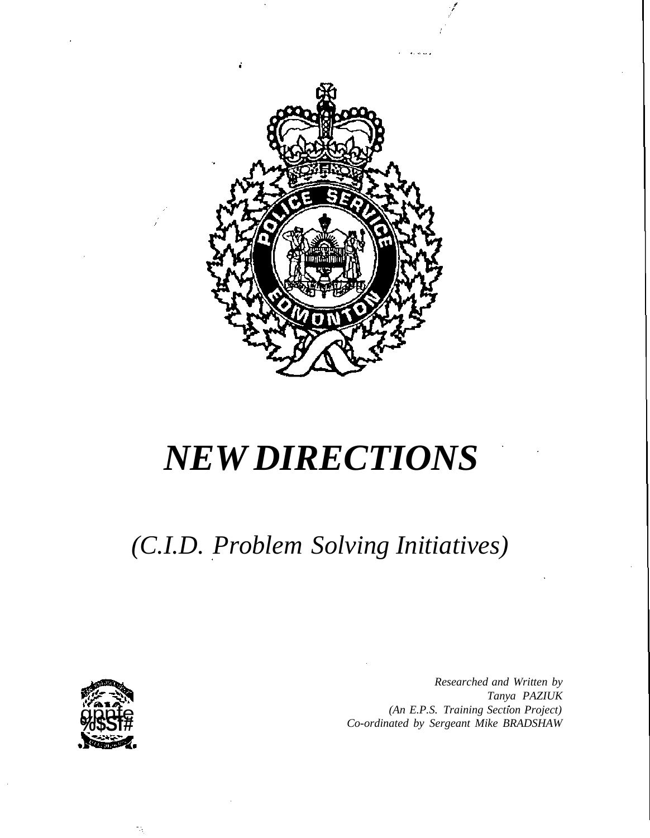

# *NEW DIRECTIONS*

# *(C.I.D. Problem Solving Initiatives)*



*Researched and Written by Tanya PAZIUK (An E.P.S. Training Section Project) Co-ordinated by Sergeant Mike BRADSHAW*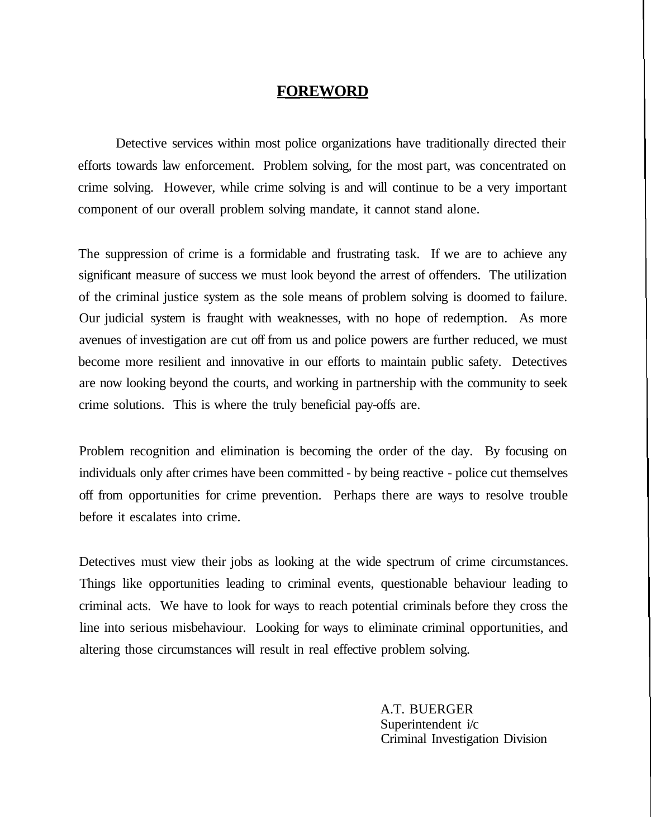#### **FOREWORD**

Detective services within most police organizations have traditionally directed their efforts towards law enforcement. Problem solving, for the most part, was concentrated on crime solving. However, while crime solving is and will continue to be a very important component of our overall problem solving mandate, it cannot stand alone.

The suppression of crime is a formidable and frustrating task. If we are to achieve any significant measure of success we must look beyond the arrest of offenders. The utilization of the criminal justice system as the sole means of problem solving is doomed to failure. Our judicial system is fraught with weaknesses, with no hope of redemption. As more avenues of investigation are cut off from us and police powers are further reduced, we must become more resilient and innovative in our efforts to maintain public safety. Detectives are now looking beyond the courts, and working in partnership with the community to seek crime solutions. This is where the truly beneficial pay-offs are.

Problem recognition and elimination is becoming the order of the day. By focusing on individuals only after crimes have been committed - by being reactive - police cut themselves off from opportunities for crime prevention. Perhaps there are ways to resolve trouble before it escalates into crime.

Detectives must view their jobs as looking at the wide spectrum of crime circumstances. Things like opportunities leading to criminal events, questionable behaviour leading to criminal acts. We have to look for ways to reach potential criminals before they cross the line into serious misbehaviour. Looking for ways to eliminate criminal opportunities, and altering those circumstances will result in real effective problem solving.

> A.T. BUERGER Superintendent i/c Criminal Investigation Division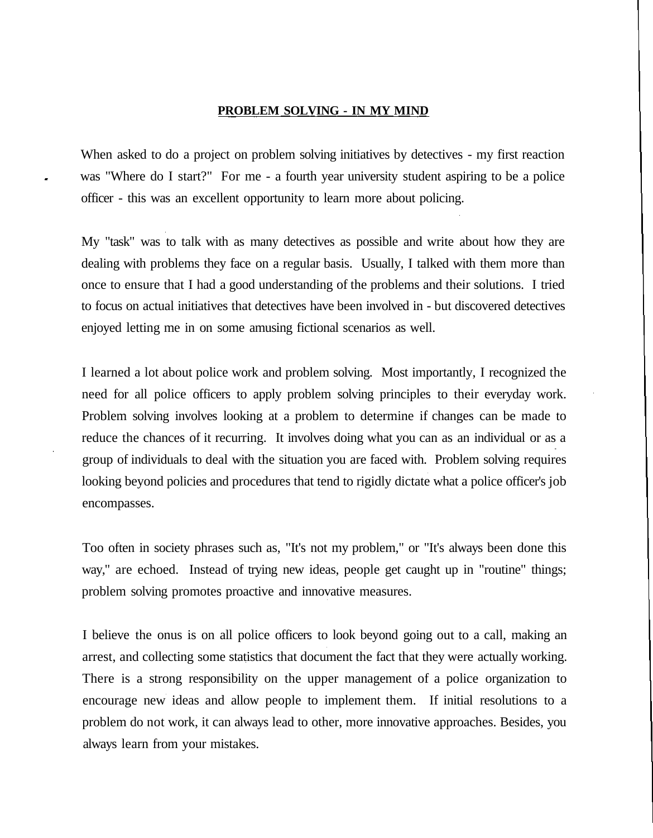#### **PROBLEM SOLVING - IN MY MIND**

When asked to do a project on problem solving initiatives by detectives - my first reaction was "Where do I start?" For me - a fourth year university student aspiring to be a police officer - this was an excellent opportunity to learn more about policing.

My "task" was to talk with as many detectives as possible and write about how they are dealing with problems they face on a regular basis. Usually, I talked with them more than once to ensure that I had a good understanding of the problems and their solutions. I tried to focus on actual initiatives that detectives have been involved in - but discovered detectives enjoyed letting me in on some amusing fictional scenarios as well.

I learned a lot about police work and problem solving. Most importantly, I recognized the need for all police officers to apply problem solving principles to their everyday work. Problem solving involves looking at a problem to determine if changes can be made to reduce the chances of it recurring. It involves doing what you can as an individual or as a group of individuals to deal with the situation you are faced with. Problem solving requires looking beyond policies and procedures that tend to rigidly dictate what a police officer's job encompasses.

Too often in society phrases such as, "It's not my problem," or "It's always been done this way," are echoed. Instead of trying new ideas, people get caught up in "routine" things; problem solving promotes proactive and innovative measures.

I believe the onus is on all police officers to look beyond going out to a call, making an arrest, and collecting some statistics that document the fact that they were actually working. There is a strong responsibility on the upper management of a police organization to encourage new ideas and allow people to implement them. If initial resolutions to a problem do not work, it can always lead to other, more innovative approaches. Besides, you always learn from your mistakes.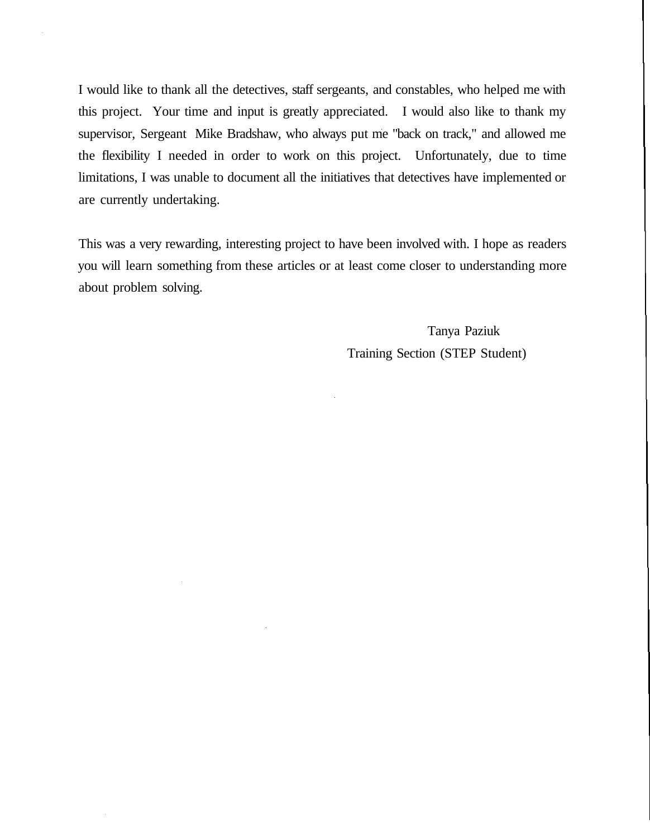I would like to thank all the detectives, staff sergeants, and constables, who helped me with this project. Your time and input is greatly appreciated. I would also like to thank my supervisor, Sergeant Mike Bradshaw, who always put me "back on track," and allowed me the flexibility I needed in order to work on this project. Unfortunately, due to time limitations, I was unable to document all the initiatives that detectives have implemented or are currently undertaking.

This was a very rewarding, interesting project to have been involved with. I hope as readers you will learn something from these articles or at least come closer to understanding more about problem solving.

> Tanya Paziuk Training Section (STEP Student)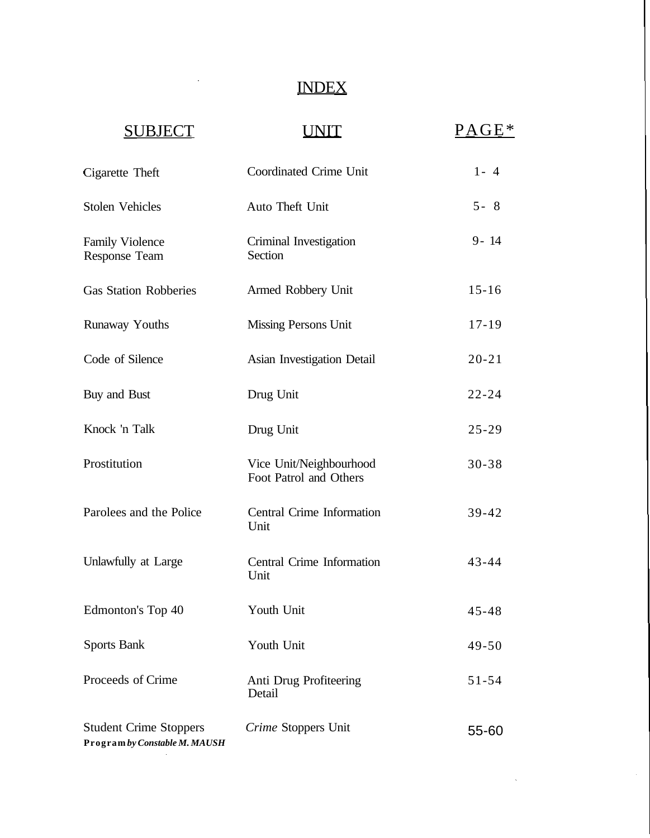# INDEX

# SUBJECT UNIT PAGE\*

 $\sim$   $\sim$ 

 $\mathcal{L}^{\text{max}}_{\text{max}}$  , where  $\mathcal{L}^{\text{max}}_{\text{max}}$ 

 $\sim 10^{-1}$ 

 $\mathcal{L}_{\text{max}}$  and  $\mathcal{L}_{\text{max}}$ 

| Cigarette Theft                                                | Coordinated Crime Unit                            | $1 - 4$   |
|----------------------------------------------------------------|---------------------------------------------------|-----------|
| <b>Stolen Vehicles</b>                                         | Auto Theft Unit                                   | $5 - 8$   |
| <b>Family Violence</b><br><b>Response Team</b>                 | Criminal Investigation<br>Section                 | $9 - 14$  |
| <b>Gas Station Robberies</b>                                   | Armed Robbery Unit                                | $15 - 16$ |
| Runaway Youths                                                 | Missing Persons Unit                              | $17 - 19$ |
| Code of Silence                                                | Asian Investigation Detail                        | $20 - 21$ |
| Buy and Bust                                                   | Drug Unit                                         | $22 - 24$ |
| Knock 'n Talk                                                  | Drug Unit                                         | $25 - 29$ |
| Prostitution                                                   | Vice Unit/Neighbourhood<br>Foot Patrol and Others | $30 - 38$ |
| Parolees and the Police                                        | <b>Central Crime Information</b><br>Unit          | $39 - 42$ |
| Unlawfully at Large                                            | Central Crime Information<br>Unit                 | $43 - 44$ |
| Edmonton's Top 40                                              | Youth Unit                                        | $45 - 48$ |
| <b>Sports Bank</b>                                             | Youth Unit                                        | $49 - 50$ |
| Proceeds of Crime                                              | Anti Drug Profiteering<br>Detail                  | $51 - 54$ |
| <b>Student Crime Stoppers</b><br>Program by Constable M. MAUSH | Crime Stoppers Unit                               | 55-60     |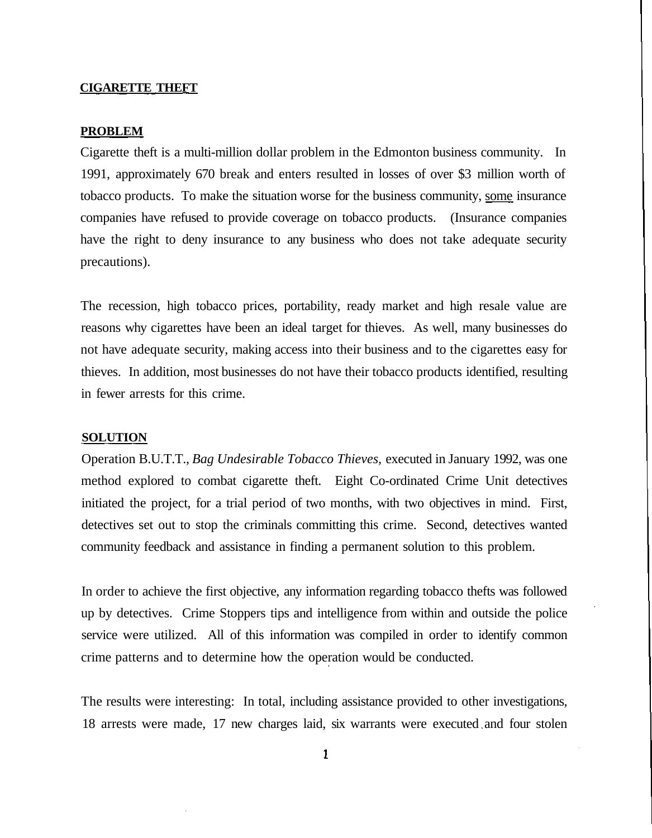#### **CIGARETTE THEFT**

#### **PROBLEM**

Cigarette theft is a multi-million dollar problem in the Edmonton business community. In 1991, approximately 670 break and enters resulted in losses of over \$3 million worth of tobacco products. To make the situation worse for the business community, some insurance companies have refused to provide coverage on tobacco products. (Insurance companies have the right to deny insurance to any business who does not take adequate security precautions).

The recession, high tobacco prices, portability, ready market and high resale value are reasons why cigarettes have been an ideal target for thieves. As well, many businesses do not have adequate security, making access into their business and to the cigarettes easy for thieves. In addition, most businesses do not have their tobacco products identified, resulting in fewer arrests for this crime.

#### **SOLUTION**

Operation B.U.T.T., *Bag Undesirable Tobacco Thieves,* executed in January 1992, was one method explored to combat cigarette theft. Eight Co-ordinated Crime Unit detectives initiated the project, for a trial period of two months, with two objectives in mind. First, detectives set out to stop the criminals committing this crime. Second, detectives wanted community feedback and assistance in finding a permanent solution to this problem.

In order to achieve the first objective, any information regarding tobacco thefts was followed up by detectives. Crime Stoppers tips and intelligence from within and outside the police service were utilized. All of this information was compiled in order to identify common crime patterns and to determine how the operation would be conducted.

The results were interesting: In total, including assistance provided to other investigations, 18 arrests were made, 17 new charges laid, six warrants were executed and four stolen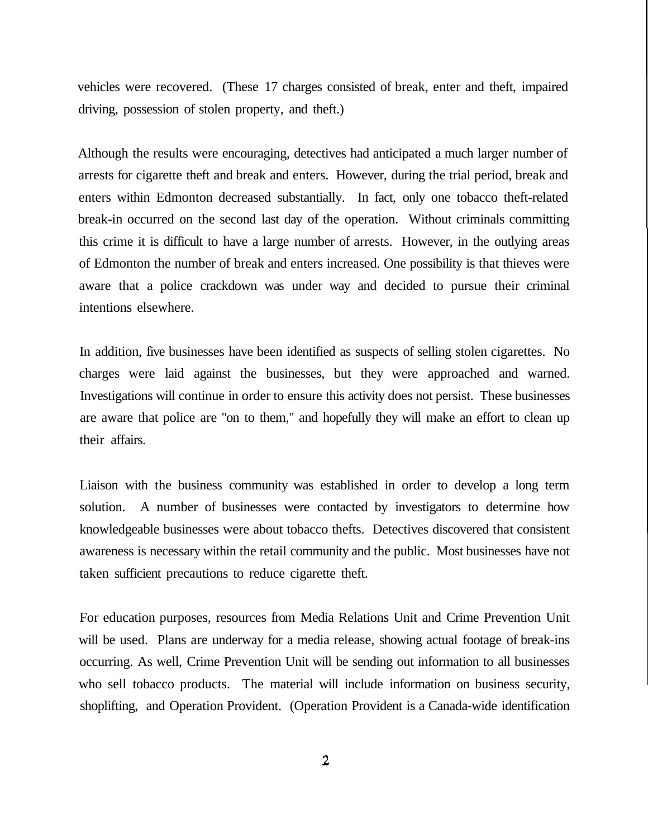vehicles were recovered. (These 17 charges consisted of break, enter and theft, impaired driving, possession of stolen property, and theft.)

Although the results were encouraging, detectives had anticipated a much larger number of arrests for cigarette theft and break and enters. However, during the trial period, break and enters within Edmonton decreased substantially. In fact, only one tobacco theft-related break-in occurred on the second last day of the operation. Without criminals committing this crime it is difficult to have a large number of arrests. However, in the outlying areas of Edmonton the number of break and enters increased. One possibility is that thieves were aware that a police crackdown was under way and decided to pursue their criminal intentions elsewhere.

In addition, five businesses have been identified as suspects of selling stolen cigarettes. No charges were laid against the businesses, but they were approached and warned. Investigations will continue in order to ensure this activity does not persist. These businesses are aware that police are "on to them," and hopefully they will make an effort to clean up their affairs.

Liaison with the business community was established in order to develop a long term solution. A number of businesses were contacted by investigators to determine how knowledgeable businesses were about tobacco thefts. Detectives discovered that consistent awareness is necessary within the retail community and the public. Most businesses have not taken sufficient precautions to reduce cigarette theft.

For education purposes, resources from Media Relations Unit and Crime Prevention Unit will be used. Plans are underway for a media release, showing actual footage of break-ins occurring. As well, Crime Prevention Unit will be sending out information to all businesses who sell tobacco products. The material will include information on business security, shoplifting, and Operation Provident. (Operation Provident is a Canada-wide identification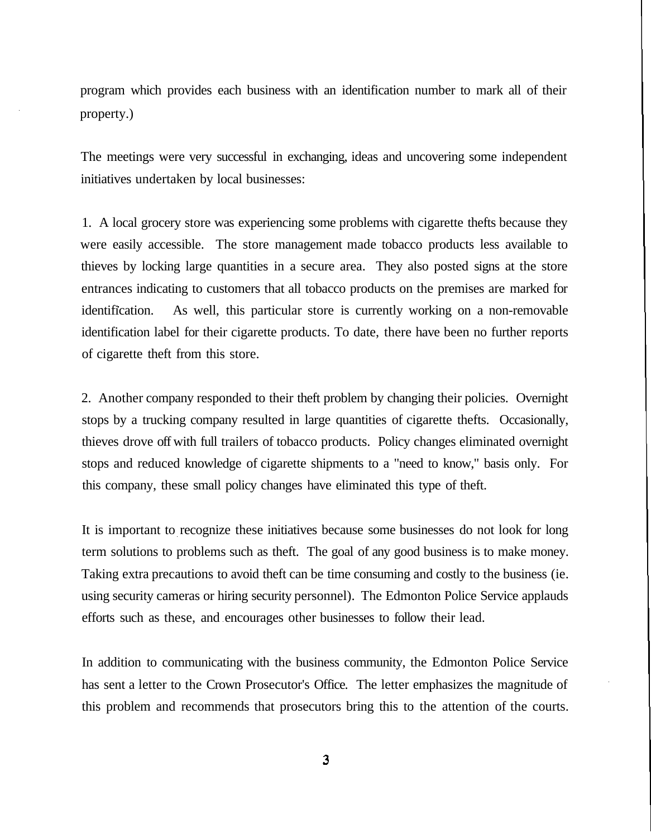program which provides each business with an identification number to mark all of their property.)

The meetings were very successful in exchanging, ideas and uncovering some independent initiatives undertaken by local businesses:

1. A local grocery store was experiencing some problems with cigarette thefts because they were easily accessible. The store management made tobacco products less available to thieves by locking large quantities in a secure area. They also posted signs at the store entrances indicating to customers that all tobacco products on the premises are marked for identification. As well, this particular store is currently working on a non-removable identification label for their cigarette products. To date, there have been no further reports of cigarette theft from this store.

2. Another company responded to their theft problem by changing their policies. Overnight stops by a trucking company resulted in large quantities of cigarette thefts. Occasionally, thieves drove off with full trailers of tobacco products. Policy changes eliminated overnight stops and reduced knowledge of cigarette shipments to a "need to know," basis only. For this company, these small policy changes have eliminated this type of theft.

It is important to recognize these initiatives because some businesses do not look for long term solutions to problems such as theft. The goal of any good business is to make money. Taking extra precautions to avoid theft can be time consuming and costly to the business (ie. using security cameras or hiring security personnel). The Edmonton Police Service applauds efforts such as these, and encourages other businesses to follow their lead.

In addition to communicating with the business community, the Edmonton Police Service has sent a letter to the Crown Prosecutor's Office. The letter emphasizes the magnitude of this problem and recommends that prosecutors bring this to the attention of the courts.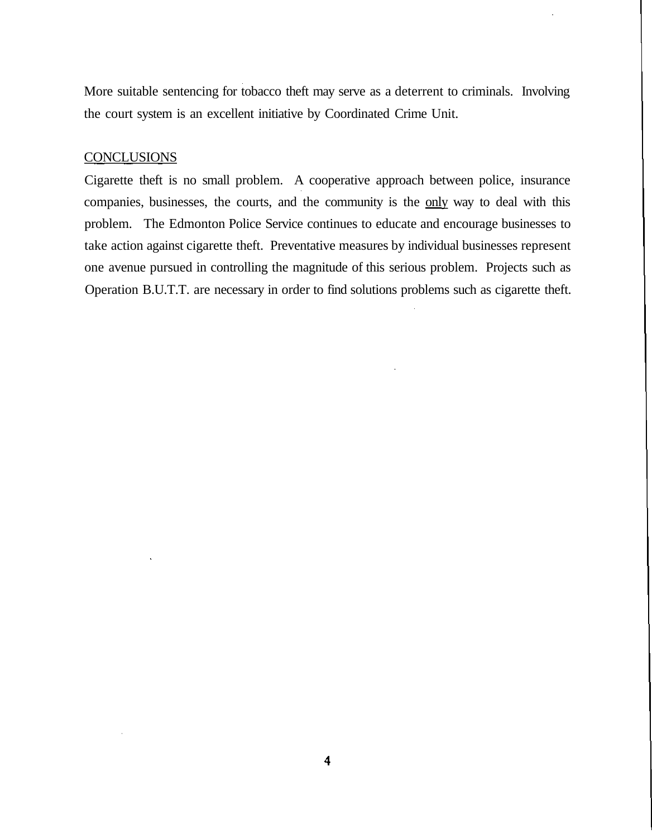More suitable sentencing for tobacco theft may serve as a deterrent to criminals. Involving the court system is an excellent initiative by Coordinated Crime Unit.

#### **CONCLUSIONS**

Cigarette theft is no small problem. A cooperative approach between police, insurance companies, businesses, the courts, and the community is the only way to deal with this problem. The Edmonton Police Service continues to educate and encourage businesses to take action against cigarette theft. Preventative measures by individual businesses represent one avenue pursued in controlling the magnitude of this serious problem. Projects such as Operation B.U.T.T. are necessary in order to find solutions problems such as cigarette theft.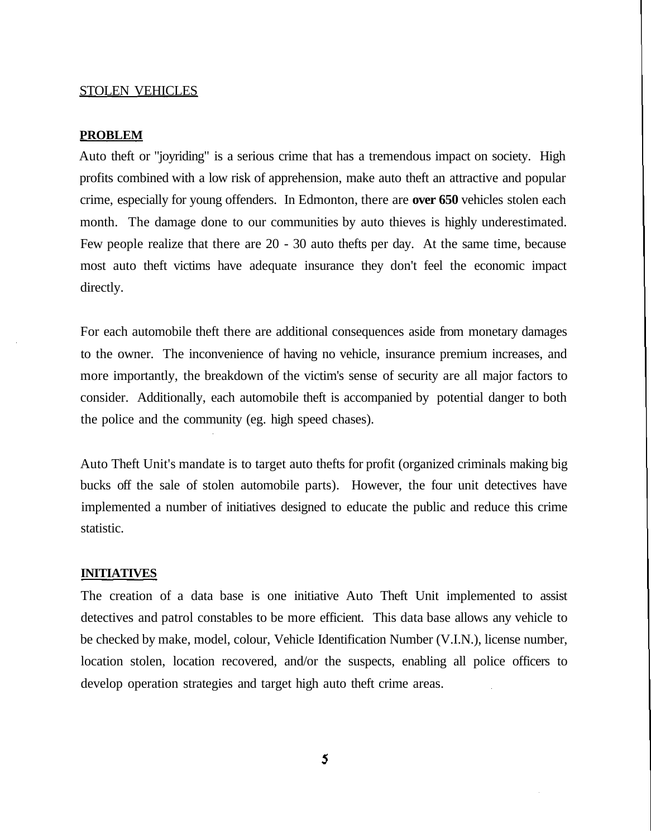#### STOLEN VEHICLES

#### **PROBLEM**

Auto theft or "joyriding" is a serious crime that has a tremendous impact on society. High profits combined with a low risk of apprehension, make auto theft an attractive and popular crime, especially for young offenders. In Edmonton, there are **over 650** vehicles stolen each month. The damage done to our communities by auto thieves is highly underestimated. Few people realize that there are 20 - 30 auto thefts per day. At the same time, because most auto theft victims have adequate insurance they don't feel the economic impact directly.

For each automobile theft there are additional consequences aside from monetary damages to the owner. The inconvenience of having no vehicle, insurance premium increases, and more importantly, the breakdown of the victim's sense of security are all major factors to consider. Additionally, each automobile theft is accompanied by potential danger to both the police and the community (eg. high speed chases).

Auto Theft Unit's mandate is to target auto thefts for profit (organized criminals making big bucks off the sale of stolen automobile parts). However, the four unit detectives have implemented a number of initiatives designed to educate the public and reduce this crime statistic.

#### **INITIATIVES**

The creation of a data base is one initiative Auto Theft Unit implemented to assist detectives and patrol constables to be more efficient. This data base allows any vehicle to be checked by make, model, colour, Vehicle Identification Number (V.I.N.), license number, location stolen, location recovered, and/or the suspects, enabling all police officers to develop operation strategies and target high auto theft crime areas.

5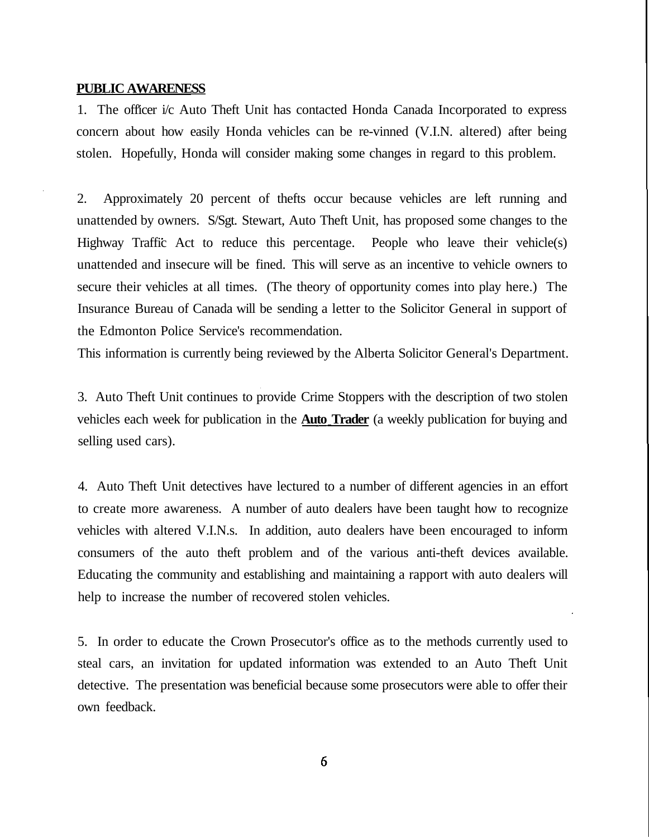#### **PUBLIC AWARENESS**

1. The officer i/c Auto Theft Unit has contacted Honda Canada Incorporated to express concern about how easily Honda vehicles can be re-vinned (V.I.N. altered) after being stolen. Hopefully, Honda will consider making some changes in regard to this problem.

2. Approximately 20 percent of thefts occur because vehicles are left running and unattended by owners. S/Sgt. Stewart, Auto Theft Unit, has proposed some changes to the Highway Traffic Act to reduce this percentage. People who leave their vehicle(s) unattended and insecure will be fined. This will serve as an incentive to vehicle owners to secure their vehicles at all times. (The theory of opportunity comes into play here.) The Insurance Bureau of Canada will be sending a letter to the Solicitor General in support of the Edmonton Police Service's recommendation.

This information is currently being reviewed by the Alberta Solicitor General's Department.

3. Auto Theft Unit continues to provide Crime Stoppers with the description of two stolen vehicles each week for publication in the **Auto Trader** (a weekly publication for buying and selling used cars).

4. Auto Theft Unit detectives have lectured to a number of different agencies in an effort to create more awareness. A number of auto dealers have been taught how to recognize vehicles with altered V.I.N.s. In addition, auto dealers have been encouraged to inform consumers of the auto theft problem and of the various anti-theft devices available. Educating the community and establishing and maintaining a rapport with auto dealers will help to increase the number of recovered stolen vehicles.

5. In order to educate the Crown Prosecutor's office as to the methods currently used to steal cars, an invitation for updated information was extended to an Auto Theft Unit detective. The presentation was beneficial because some prosecutors were able to offer their own feedback.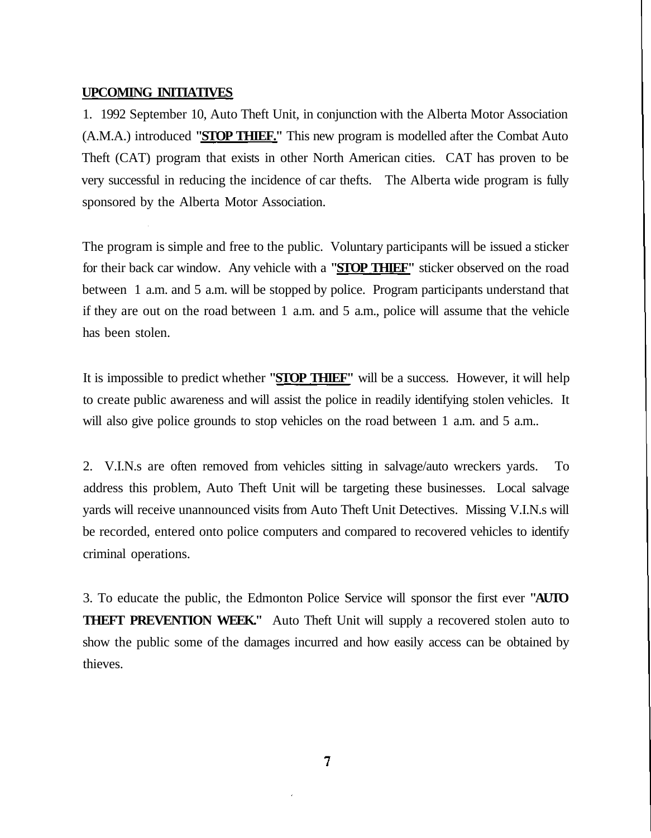#### **UPCOMING INITIATIVES**

1. 1992 September 10, Auto Theft Unit, in conjunction with the Alberta Motor Association (A.M.A.) introduced **"STOP THIEF."** This new program is modelled after the Combat Auto Theft (CAT) program that exists in other North American cities. CAT has proven to be very successful in reducing the incidence of car thefts. The Alberta wide program is fully sponsored by the Alberta Motor Association.

The program is simple and free to the public. Voluntary participants will be issued a sticker for their back car window. Any vehicle with a **"STOP THIEF"** sticker observed on the road between 1 a.m. and 5 a.m. will be stopped by police. Program participants understand that if they are out on the road between 1 a.m. and 5 a.m., police will assume that the vehicle has been stolen.

It is impossible to predict whether **"STOP THIEF"** will be a success. However, it will help to create public awareness and will assist the police in readily identifying stolen vehicles. It will also give police grounds to stop vehicles on the road between 1 a.m. and 5 a.m..

2. V.I.N.s are often removed from vehicles sitting in salvage/auto wreckers yards. To address this problem, Auto Theft Unit will be targeting these businesses. Local salvage yards will receive unannounced visits from Auto Theft Unit Detectives. Missing V.I.N.s will be recorded, entered onto police computers and compared to recovered vehicles to identify criminal operations.

3. To educate the public, the Edmonton Police Service will sponsor the first ever **"AUTO THEFT PREVENTION WEEK."** Auto Theft Unit will supply a recovered stolen auto to show the public some of the damages incurred and how easily access can be obtained by thieves.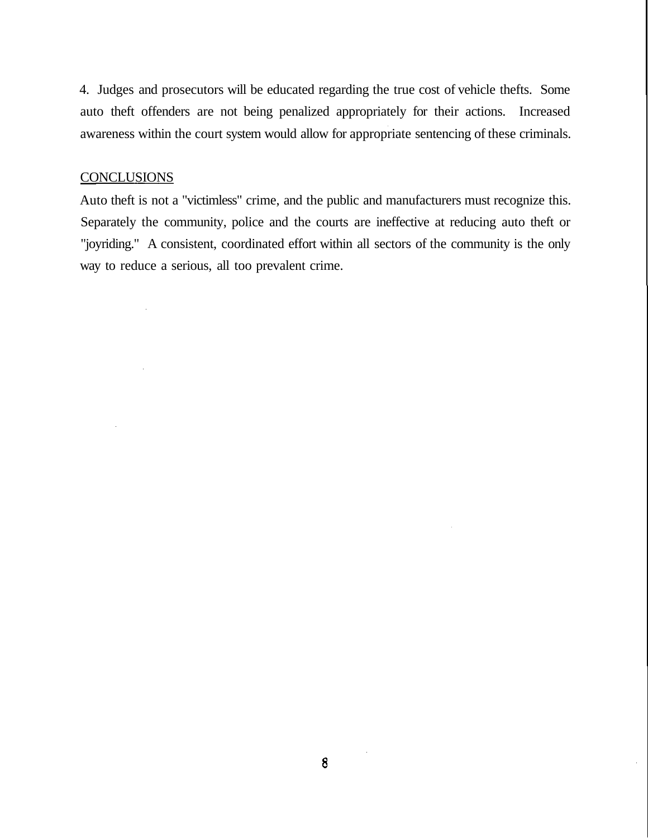4. Judges and prosecutors will be educated regarding the true cost of vehicle thefts. Some auto theft offenders are not being penalized appropriately for their actions. Increased awareness within the court system would allow for appropriate sentencing of these criminals.

#### **CONCLUSIONS**

Auto theft is not a "victimless" crime, and the public and manufacturers must recognize this. Separately the community, police and the courts are ineffective at reducing auto theft or "joyriding." A consistent, coordinated effort within all sectors of the community is the only way to reduce a serious, all too prevalent crime.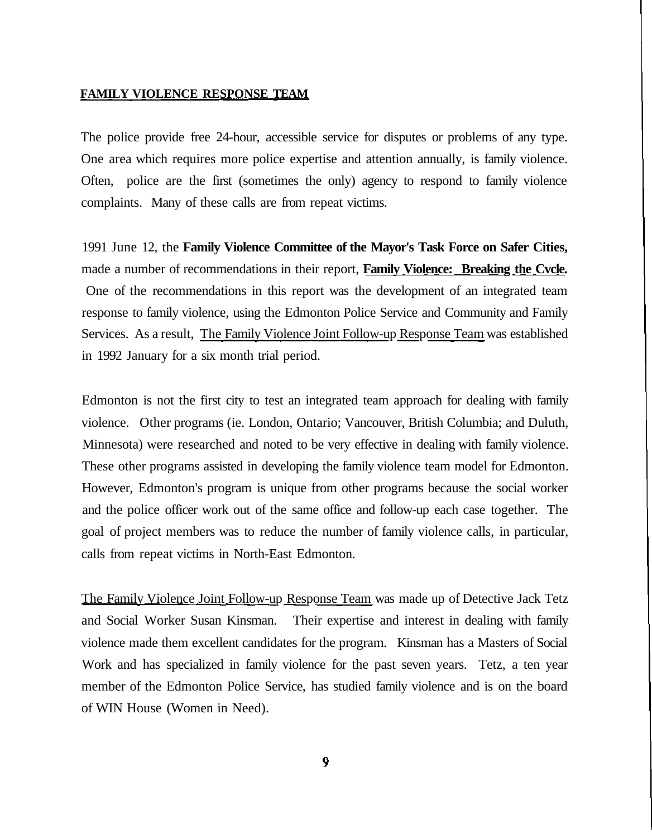#### **FAMILY VIOLENCE RESPONSE TEAM**

The police provide free 24-hour, accessible service for disputes or problems of any type. One area which requires more police expertise and attention annually, is family violence. Often, police are the first (sometimes the only) agency to respond to family violence complaints. Many of these calls are from repeat victims.

1991 June 12, the **Family Violence Committee of the Mayor's Task Force on Safer Cities,** made a number of recommendations in their report, **Family Violence: Breaking the Cvcle.** One of the recommendations in this report was the development of an integrated team response to family violence, using the Edmonton Police Service and Community and Family Services. As a result, The Family Violence Joint Follow-up Response Team was established in 1992 January for a six month trial period.

Edmonton is not the first city to test an integrated team approach for dealing with family violence. Other programs (ie. London, Ontario; Vancouver, British Columbia; and Duluth, Minnesota) were researched and noted to be very effective in dealing with family violence. These other programs assisted in developing the family violence team model for Edmonton. However, Edmonton's program is unique from other programs because the social worker and the police officer work out of the same office and follow-up each case together. The goal of project members was to reduce the number of family violence calls, in particular, calls from repeat victims in North-East Edmonton.

The Family Violence Joint Follow-up Response Team was made up of Detective Jack Tetz and Social Worker Susan Kinsman. Their expertise and interest in dealing with family violence made them excellent candidates for the program. Kinsman has a Masters of Social Work and has specialized in family violence for the past seven years. Tetz, a ten year member of the Edmonton Police Service, has studied family violence and is on the board of WIN House (Women in Need).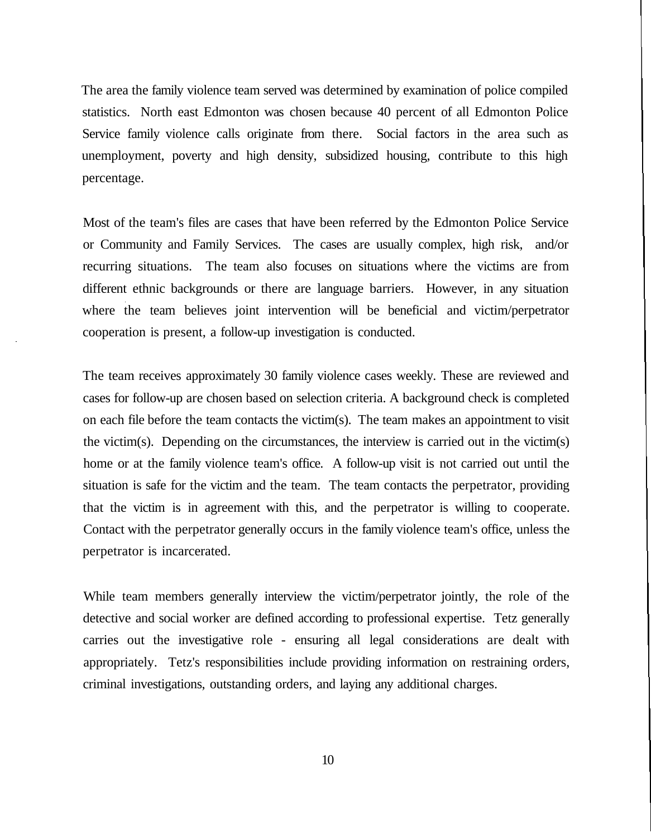The area the family violence team served was determined by examination of police compiled statistics. North east Edmonton was chosen because 40 percent of all Edmonton Police Service family violence calls originate from there. Social factors in the area such as unemployment, poverty and high density, subsidized housing, contribute to this high percentage.

Most of the team's files are cases that have been referred by the Edmonton Police Service or Community and Family Services. The cases are usually complex, high risk, and/or recurring situations. The team also focuses on situations where the victims are from different ethnic backgrounds or there are language barriers. However, in any situation where the team believes joint intervention will be beneficial and victim/perpetrator cooperation is present, a follow-up investigation is conducted.

The team receives approximately 30 family violence cases weekly. These are reviewed and cases for follow-up are chosen based on selection criteria. A background check is completed on each file before the team contacts the victim(s). The team makes an appointment to visit the victim(s). Depending on the circumstances, the interview is carried out in the victim(s) home or at the family violence team's office. A follow-up visit is not carried out until the situation is safe for the victim and the team. The team contacts the perpetrator, providing that the victim is in agreement with this, and the perpetrator is willing to cooperate. Contact with the perpetrator generally occurs in the family violence team's office, unless the perpetrator is incarcerated.

While team members generally interview the victim/perpetrator jointly, the role of the detective and social worker are defined according to professional expertise. Tetz generally carries out the investigative role - ensuring all legal considerations are dealt with appropriately. Tetz's responsibilities include providing information on restraining orders, criminal investigations, outstanding orders, and laying any additional charges.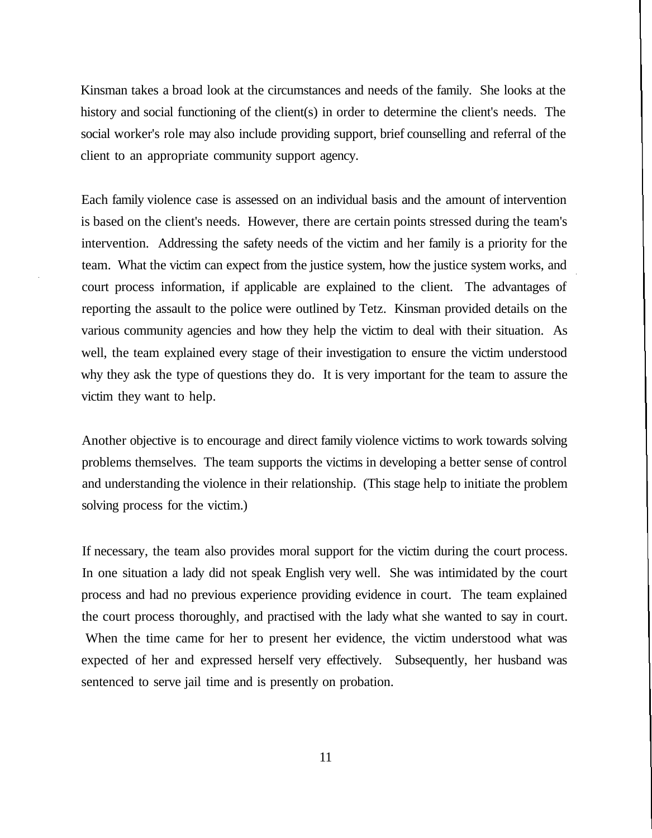Kinsman takes a broad look at the circumstances and needs of the family. She looks at the history and social functioning of the client(s) in order to determine the client's needs. The social worker's role may also include providing support, brief counselling and referral of the client to an appropriate community support agency.

Each family violence case is assessed on an individual basis and the amount of intervention is based on the client's needs. However, there are certain points stressed during the team's intervention. Addressing the safety needs of the victim and her family is a priority for the team. What the victim can expect from the justice system, how the justice system works, and court process information, if applicable are explained to the client. The advantages of reporting the assault to the police were outlined by Tetz. Kinsman provided details on the various community agencies and how they help the victim to deal with their situation. As well, the team explained every stage of their investigation to ensure the victim understood why they ask the type of questions they do. It is very important for the team to assure the victim they want to help.

Another objective is to encourage and direct family violence victims to work towards solving problems themselves. The team supports the victims in developing a better sense of control and understanding the violence in their relationship. (This stage help to initiate the problem solving process for the victim.)

If necessary, the team also provides moral support for the victim during the court process. In one situation a lady did not speak English very well. She was intimidated by the court process and had no previous experience providing evidence in court. The team explained the court process thoroughly, and practised with the lady what she wanted to say in court. When the time came for her to present her evidence, the victim understood what was expected of her and expressed herself very effectively. Subsequently, her husband was sentenced to serve jail time and is presently on probation.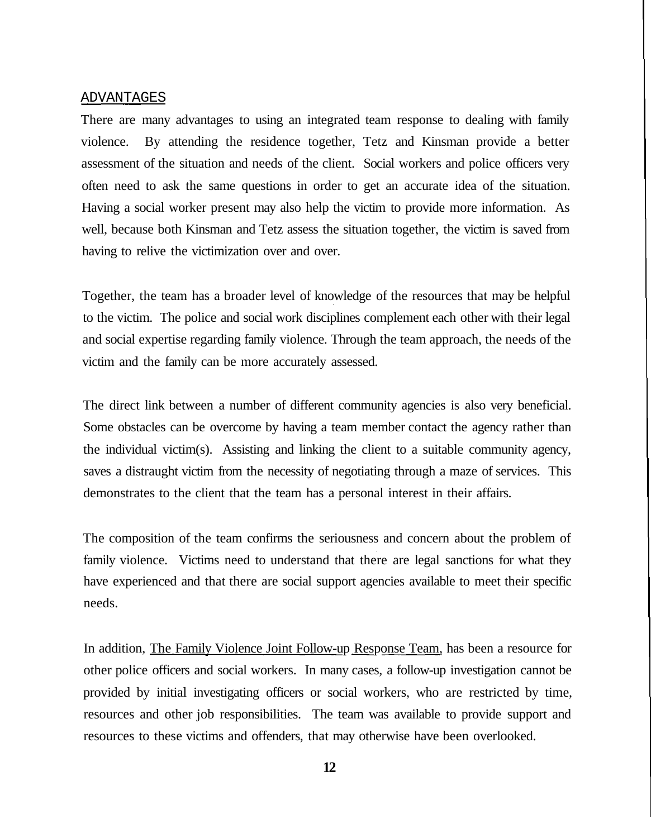#### ADVANTAGES

There are many advantages to using an integrated team response to dealing with family violence. By attending the residence together, Tetz and Kinsman provide a better assessment of the situation and needs of the client. Social workers and police officers very often need to ask the same questions in order to get an accurate idea of the situation. Having a social worker present may also help the victim to provide more information. As well, because both Kinsman and Tetz assess the situation together, the victim is saved from having to relive the victimization over and over.

Together, the team has a broader level of knowledge of the resources that may be helpful to the victim. The police and social work disciplines complement each other with their legal and social expertise regarding family violence. Through the team approach, the needs of the victim and the family can be more accurately assessed.

The direct link between a number of different community agencies is also very beneficial. Some obstacles can be overcome by having a team member contact the agency rather than the individual victim(s). Assisting and linking the client to a suitable community agency, saves a distraught victim from the necessity of negotiating through a maze of services. This demonstrates to the client that the team has a personal interest in their affairs.

The composition of the team confirms the seriousness and concern about the problem of family violence. Victims need to understand that there are legal sanctions for what they have experienced and that there are social support agencies available to meet their specific needs.

In addition, The Family Violence Joint Follow-up Response Team, has been a resource for other police officers and social workers. In many cases, a follow-up investigation cannot be provided by initial investigating officers or social workers, who are restricted by time, resources and other job responsibilities. The team was available to provide support and resources to these victims and offenders, that may otherwise have been overlooked.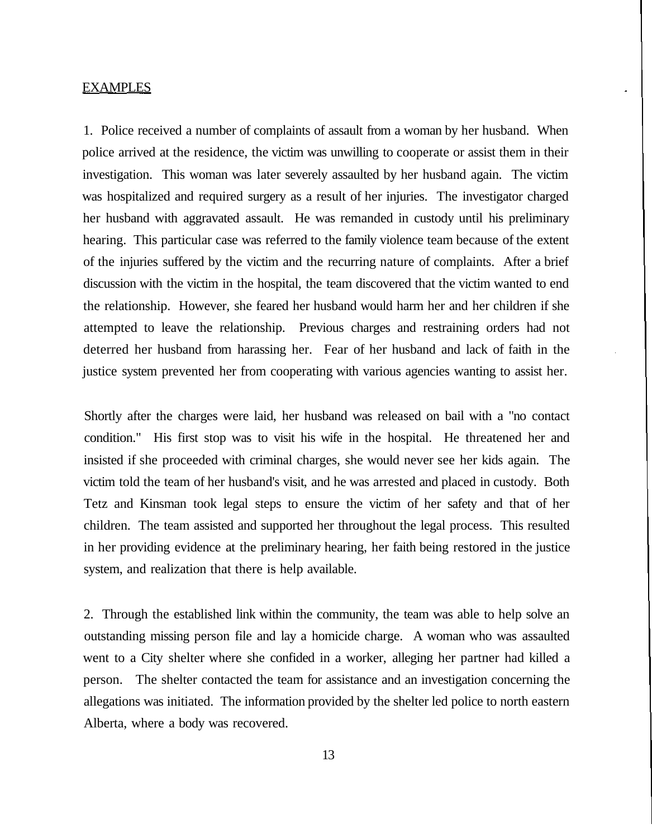#### **EXAMPLES**

1. Police received a number of complaints of assault from a woman by her husband. When police arrived at the residence, the victim was unwilling to cooperate or assist them in their investigation. This woman was later severely assaulted by her husband again. The victim was hospitalized and required surgery as a result of her injuries. The investigator charged her husband with aggravated assault. He was remanded in custody until his preliminary hearing. This particular case was referred to the family violence team because of the extent of the injuries suffered by the victim and the recurring nature of complaints. After a brief discussion with the victim in the hospital, the team discovered that the victim wanted to end the relationship. However, she feared her husband would harm her and her children if she attempted to leave the relationship. Previous charges and restraining orders had not deterred her husband from harassing her. Fear of her husband and lack of faith in the justice system prevented her from cooperating with various agencies wanting to assist her.

Shortly after the charges were laid, her husband was released on bail with a "no contact condition." His first stop was to visit his wife in the hospital. He threatened her and insisted if she proceeded with criminal charges, she would never see her kids again. The victim told the team of her husband's visit, and he was arrested and placed in custody. Both Tetz and Kinsman took legal steps to ensure the victim of her safety and that of her children. The team assisted and supported her throughout the legal process. This resulted in her providing evidence at the preliminary hearing, her faith being restored in the justice system, and realization that there is help available.

2. Through the established link within the community, the team was able to help solve an outstanding missing person file and lay a homicide charge. A woman who was assaulted went to a City shelter where she confided in a worker, alleging her partner had killed a person. The shelter contacted the team for assistance and an investigation concerning the allegations was initiated. The information provided by the shelter led police to north eastern Alberta, where a body was recovered.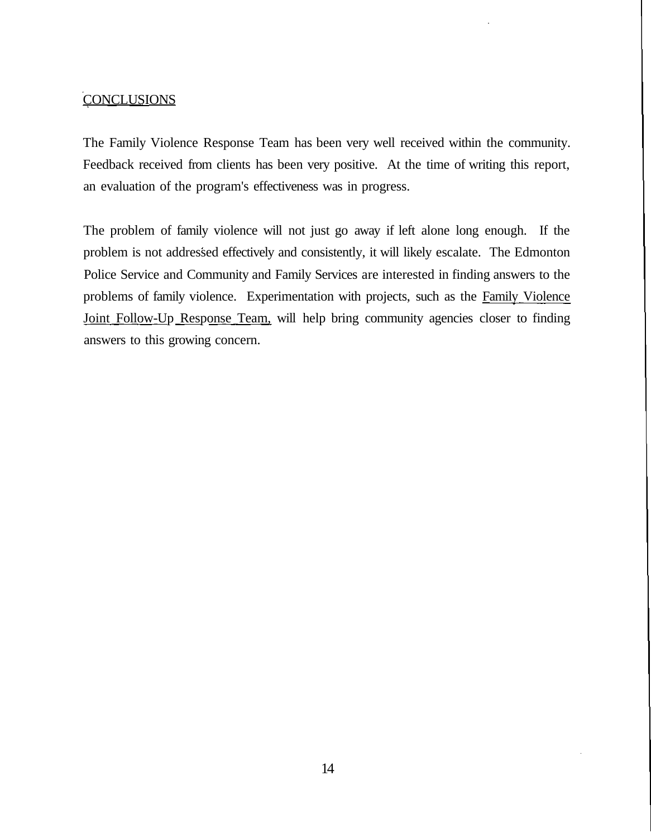### **CONCLUSIONS**

The Family Violence Response Team has been very well received within the community. Feedback received from clients has been very positive. At the time of writing this report, an evaluation of the program's effectiveness was in progress.

The problem of family violence will not just go away if left alone long enough. If the problem is not addressed effectively and consistently, it will likely escalate. The Edmonton Police Service and Community and Family Services are interested in finding answers to the problems of family violence. Experimentation with projects, such as the Family Violence Joint Follow-Up Response Team, will help bring community agencies closer to finding answers to this growing concern.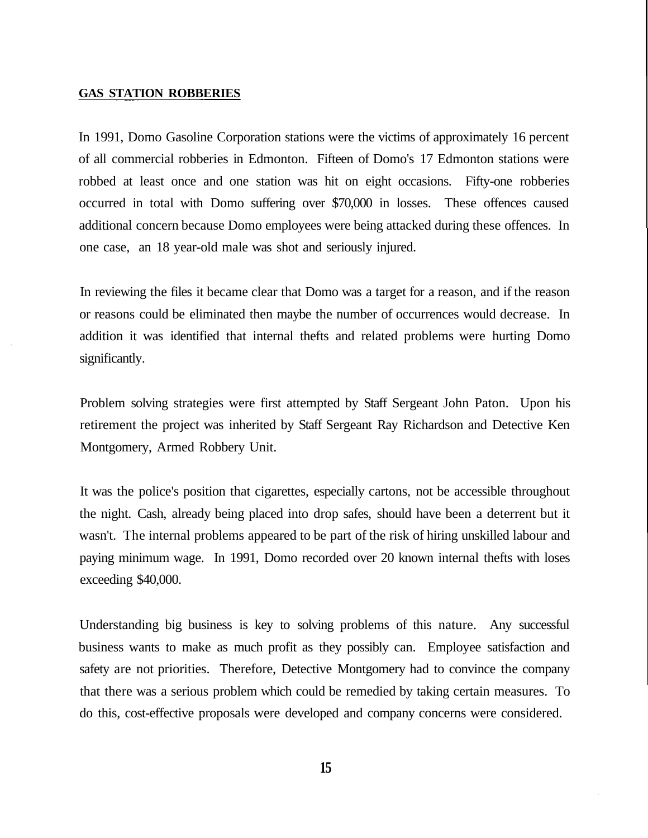#### **GAS STATION ROBBERIES**

In 1991, Domo Gasoline Corporation stations were the victims of approximately 16 percent of all commercial robberies in Edmonton. Fifteen of Domo's 17 Edmonton stations were robbed at least once and one station was hit on eight occasions. Fifty-one robberies occurred in total with Domo suffering over \$70,000 in losses. These offences caused additional concern because Domo employees were being attacked during these offences. In one case, an 18 year-old male was shot and seriously injured.

In reviewing the files it became clear that Domo was a target for a reason, and if the reason or reasons could be eliminated then maybe the number of occurrences would decrease. In addition it was identified that internal thefts and related problems were hurting Domo significantly.

Problem solving strategies were first attempted by Staff Sergeant John Paton. Upon his retirement the project was inherited by Staff Sergeant Ray Richardson and Detective Ken Montgomery, Armed Robbery Unit.

It was the police's position that cigarettes, especially cartons, not be accessible throughout the night. Cash, already being placed into drop safes, should have been a deterrent but it wasn't. The internal problems appeared to be part of the risk of hiring unskilled labour and paying minimum wage. In 1991, Domo recorded over 20 known internal thefts with loses exceeding \$40,000.

Understanding big business is key to solving problems of this nature. Any successful business wants to make as much profit as they possibly can. Employee satisfaction and safety are not priorities. Therefore, Detective Montgomery had to convince the company that there was a serious problem which could be remedied by taking certain measures. To do this, cost-effective proposals were developed and company concerns were considered.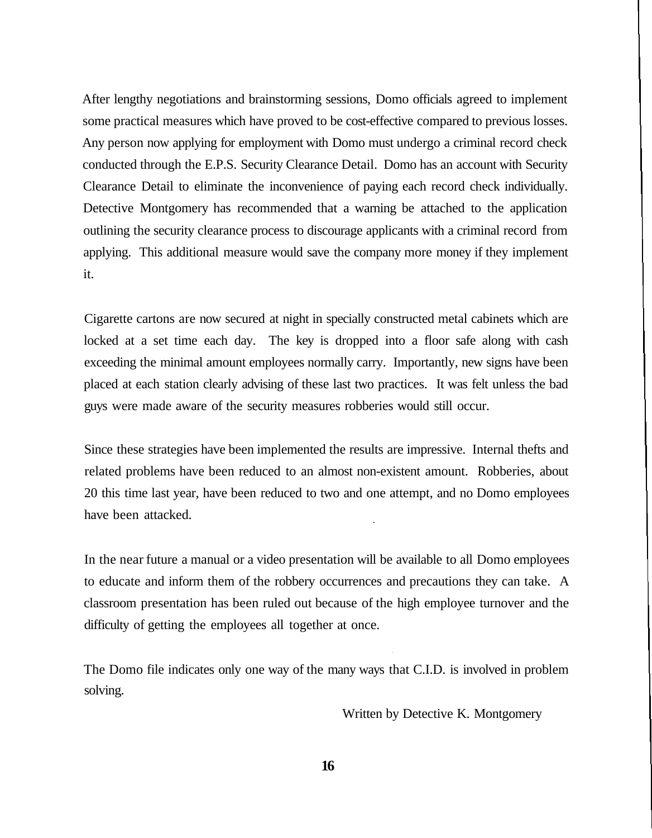After lengthy negotiations and brainstorming sessions, Domo officials agreed to implement some practical measures which have proved to be cost-effective compared to previous losses. Any person now applying for employment with Domo must undergo a criminal record check conducted through the E.P.S. Security Clearance Detail. Domo has an account with Security Clearance Detail to eliminate the inconvenience of paying each record check individually. Detective Montgomery has recommended that a warning be attached to the application outlining the security clearance process to discourage applicants with a criminal record from applying. This additional measure would save the company more money if they implement it.

Cigarette cartons are now secured at night in specially constructed metal cabinets which are locked at a set time each day. The key is dropped into a floor safe along with cash exceeding the minimal amount employees normally carry. Importantly, new signs have been placed at each station clearly advising of these last two practices. It was felt unless the bad guys were made aware of the security measures robberies would still occur.

Since these strategies have been implemented the results are impressive. Internal thefts and related problems have been reduced to an almost non-existent amount. Robberies, about 20 this time last year, have been reduced to two and one attempt, and no Domo employees have been attacked.

In the near future a manual or a video presentation will be available to all Domo employees to educate and inform them of the robbery occurrences and precautions they can take. A classroom presentation has been ruled out because of the high employee turnover and the difficulty of getting the employees all together at once.

The Domo file indicates only one way of the many ways that C.I.D. is involved in problem solving.

Written by Detective K. Montgomery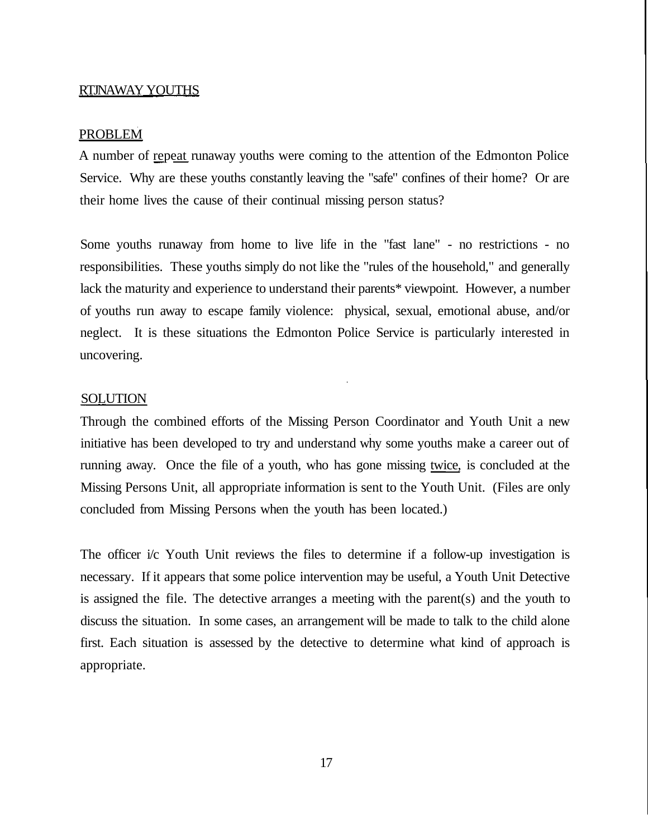#### RTJNAWAY YOUTHS

#### PROBLEM

A number of repeat runaway youths were coming to the attention of the Edmonton Police Service. Why are these youths constantly leaving the "safe" confines of their home? Or are their home lives the cause of their continual missing person status?

Some youths runaway from home to live life in the "fast lane" - no restrictions - no responsibilities. These youths simply do not like the "rules of the household," and generally lack the maturity and experience to understand their parents\* viewpoint. However, a number of youths run away to escape family violence: physical, sexual, emotional abuse, and/or neglect. It is these situations the Edmonton Police Service is particularly interested in uncovering.

#### **SOLUTION**

Through the combined efforts of the Missing Person Coordinator and Youth Unit a new initiative has been developed to try and understand why some youths make a career out of running away. Once the file of a youth, who has gone missing twice, is concluded at the Missing Persons Unit, all appropriate information is sent to the Youth Unit. (Files are only concluded from Missing Persons when the youth has been located.)

The officer i/c Youth Unit reviews the files to determine if a follow-up investigation is necessary. If it appears that some police intervention may be useful, a Youth Unit Detective is assigned the file. The detective arranges a meeting with the parent(s) and the youth to discuss the situation. In some cases, an arrangement will be made to talk to the child alone first. Each situation is assessed by the detective to determine what kind of approach is appropriate.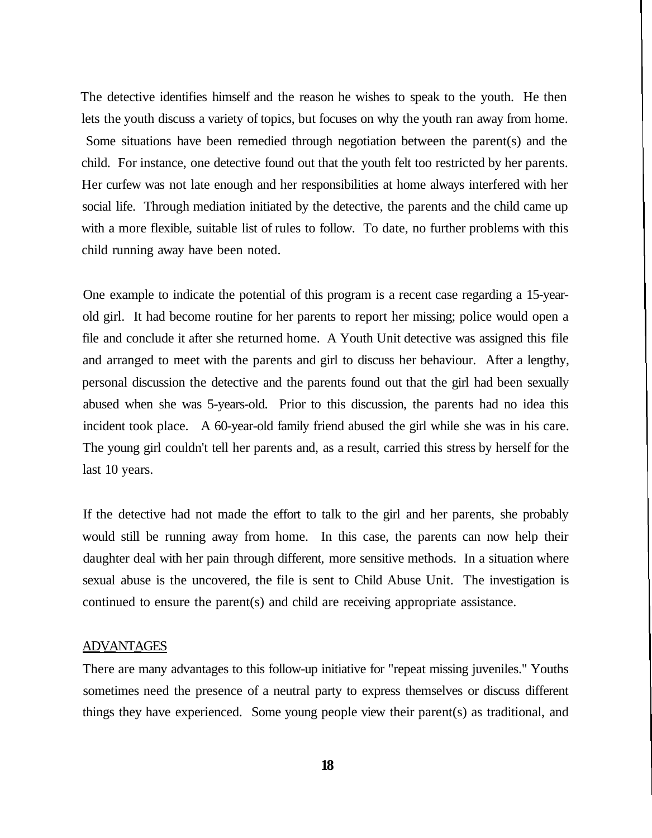The detective identifies himself and the reason he wishes to speak to the youth. He then lets the youth discuss a variety of topics, but focuses on why the youth ran away from home. Some situations have been remedied through negotiation between the parent(s) and the child. For instance, one detective found out that the youth felt too restricted by her parents. Her curfew was not late enough and her responsibilities at home always interfered with her social life. Through mediation initiated by the detective, the parents and the child came up with a more flexible, suitable list of rules to follow. To date, no further problems with this child running away have been noted.

One example to indicate the potential of this program is a recent case regarding a 15-yearold girl. It had become routine for her parents to report her missing; police would open a file and conclude it after she returned home. A Youth Unit detective was assigned this file and arranged to meet with the parents and girl to discuss her behaviour. After a lengthy, personal discussion the detective and the parents found out that the girl had been sexually abused when she was 5-years-old. Prior to this discussion, the parents had no idea this incident took place. A 60-year-old family friend abused the girl while she was in his care. The young girl couldn't tell her parents and, as a result, carried this stress by herself for the last 10 years.

If the detective had not made the effort to talk to the girl and her parents, she probably would still be running away from home. In this case, the parents can now help their daughter deal with her pain through different, more sensitive methods. In a situation where sexual abuse is the uncovered, the file is sent to Child Abuse Unit. The investigation is continued to ensure the parent(s) and child are receiving appropriate assistance.

#### ADVANTAGES

There are many advantages to this follow-up initiative for "repeat missing juveniles." Youths sometimes need the presence of a neutral party to express themselves or discuss different things they have experienced. Some young people view their parent(s) as traditional, and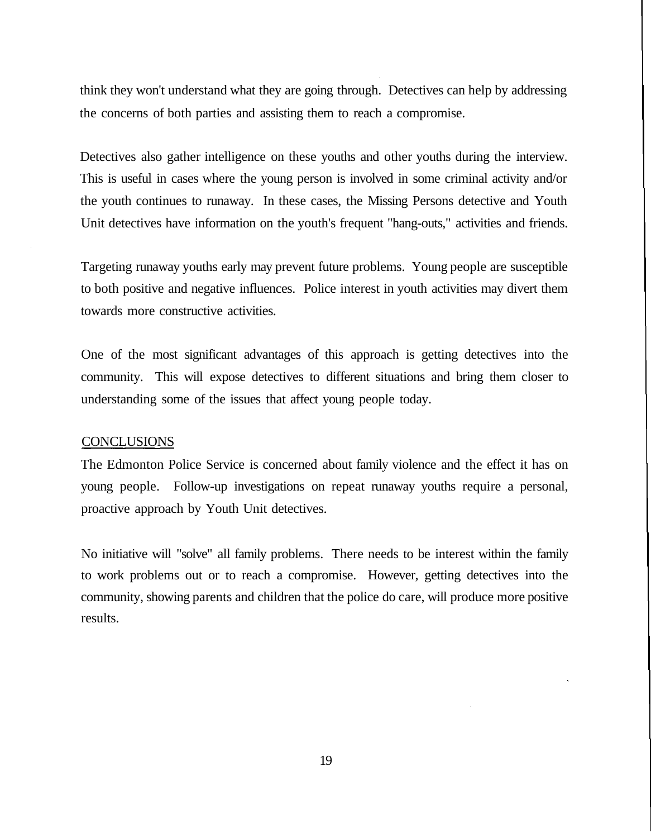think they won't understand what they are going through. Detectives can help by addressing the concerns of both parties and assisting them to reach a compromise.

Detectives also gather intelligence on these youths and other youths during the interview. This is useful in cases where the young person is involved in some criminal activity and/or the youth continues to runaway. In these cases, the Missing Persons detective and Youth Unit detectives have information on the youth's frequent "hang-outs," activities and friends.

Targeting runaway youths early may prevent future problems. Young people are susceptible to both positive and negative influences. Police interest in youth activities may divert them towards more constructive activities.

One of the most significant advantages of this approach is getting detectives into the community. This will expose detectives to different situations and bring them closer to understanding some of the issues that affect young people today.

#### **CONCLUSIONS**

The Edmonton Police Service is concerned about family violence and the effect it has on young people. Follow-up investigations on repeat runaway youths require a personal, proactive approach by Youth Unit detectives.

No initiative will "solve" all family problems. There needs to be interest within the family to work problems out or to reach a compromise. However, getting detectives into the community, showing parents and children that the police do care, will produce more positive results.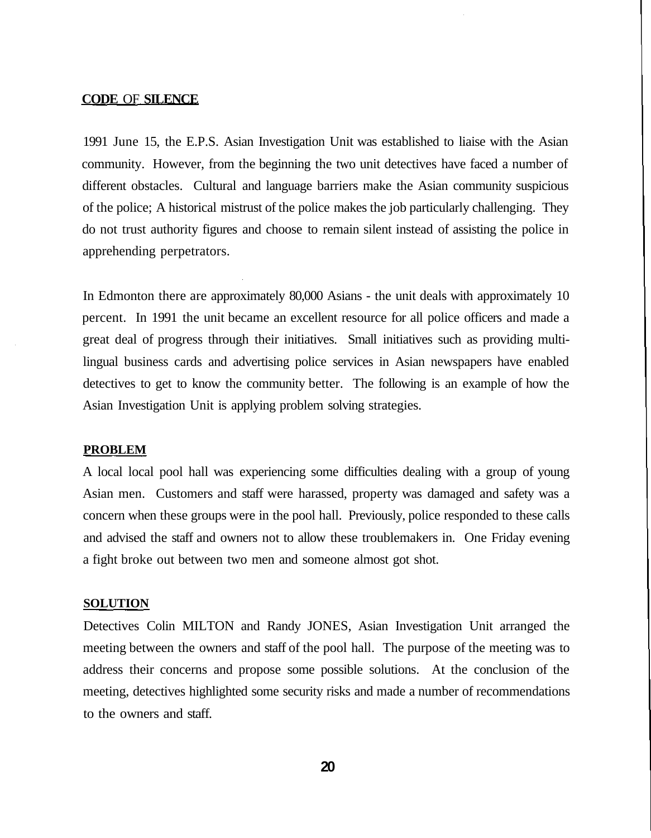#### **CODE** OF **SILENCE**

1991 June 15, the E.P.S. Asian Investigation Unit was established to liaise with the Asian community. However, from the beginning the two unit detectives have faced a number of different obstacles. Cultural and language barriers make the Asian community suspicious of the police; A historical mistrust of the police makes the job particularly challenging. They do not trust authority figures and choose to remain silent instead of assisting the police in apprehending perpetrators.

In Edmonton there are approximately 80,000 Asians - the unit deals with approximately 10 percent. In 1991 the unit became an excellent resource for all police officers and made a great deal of progress through their initiatives. Small initiatives such as providing multilingual business cards and advertising police services in Asian newspapers have enabled detectives to get to know the community better. The following is an example of how the Asian Investigation Unit is applying problem solving strategies.

#### **PROBLEM**

A local local pool hall was experiencing some difficulties dealing with a group of young Asian men. Customers and staff were harassed, property was damaged and safety was a concern when these groups were in the pool hall. Previously, police responded to these calls and advised the staff and owners not to allow these troublemakers in. One Friday evening a fight broke out between two men and someone almost got shot.

#### **SOLUTION**

Detectives Colin MILTON and Randy JONES, Asian Investigation Unit arranged the meeting between the owners and staff of the pool hall. The purpose of the meeting was to address their concerns and propose some possible solutions. At the conclusion of the meeting, detectives highlighted some security risks and made a number of recommendations to the owners and staff.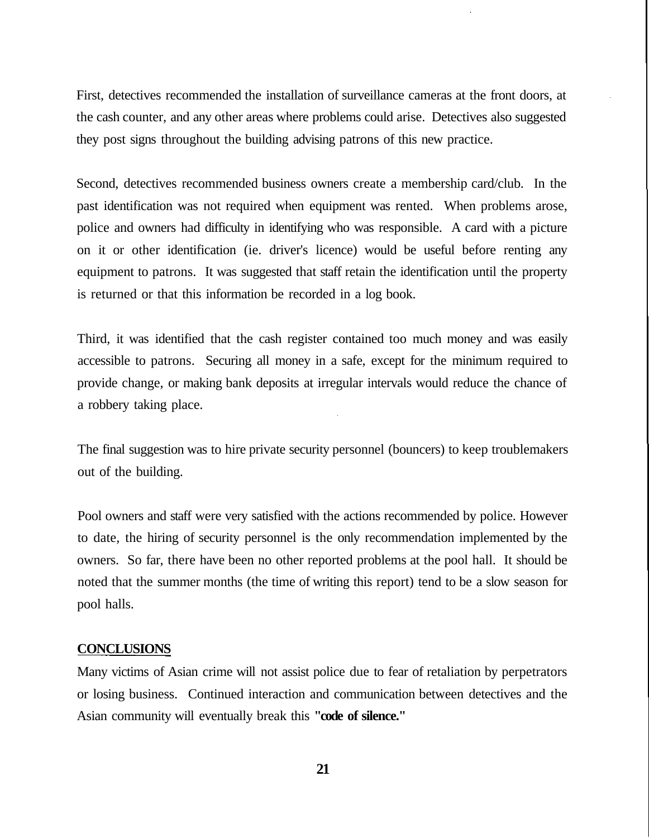First, detectives recommended the installation of surveillance cameras at the front doors, at the cash counter, and any other areas where problems could arise. Detectives also suggested they post signs throughout the building advising patrons of this new practice.

Second, detectives recommended business owners create a membership card/club. In the past identification was not required when equipment was rented. When problems arose, police and owners had difficulty in identifying who was responsible. A card with a picture on it or other identification (ie. driver's licence) would be useful before renting any equipment to patrons. It was suggested that staff retain the identification until the property is returned or that this information be recorded in a log book.

Third, it was identified that the cash register contained too much money and was easily accessible to patrons. Securing all money in a safe, except for the minimum required to provide change, or making bank deposits at irregular intervals would reduce the chance of a robbery taking place.

The final suggestion was to hire private security personnel (bouncers) to keep troublemakers out of the building.

Pool owners and staff were very satisfied with the actions recommended by police. However to date, the hiring of security personnel is the only recommendation implemented by the owners. So far, there have been no other reported problems at the pool hall. It should be noted that the summer months (the time of writing this report) tend to be a slow season for pool halls.

#### **CONCLUSIONS**

Many victims of Asian crime will not assist police due to fear of retaliation by perpetrators or losing business. Continued interaction and communication between detectives and the Asian community will eventually break this **"code of silence."**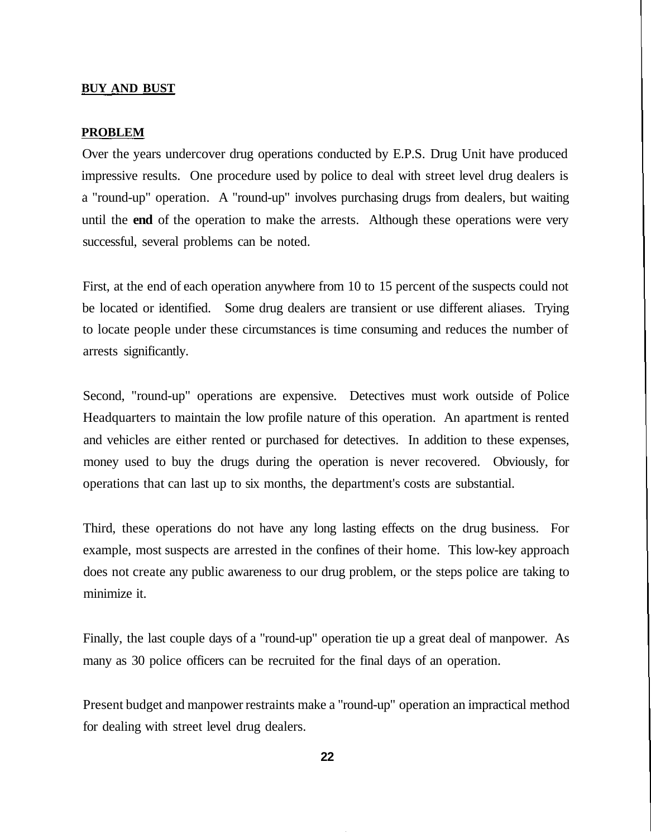#### **BUY AND BUST**

#### **PROBLEM**

Over the years undercover drug operations conducted by E.P.S. Drug Unit have produced impressive results. One procedure used by police to deal with street level drug dealers is a "round-up" operation. A "round-up" involves purchasing drugs from dealers, but waiting until the **end** of the operation to make the arrests. Although these operations were very successful, several problems can be noted.

First, at the end of each operation anywhere from 10 to 15 percent of the suspects could not be located or identified. Some drug dealers are transient or use different aliases. Trying to locate people under these circumstances is time consuming and reduces the number of arrests significantly.

Second, "round-up" operations are expensive. Detectives must work outside of Police Headquarters to maintain the low profile nature of this operation. An apartment is rented and vehicles are either rented or purchased for detectives. In addition to these expenses, money used to buy the drugs during the operation is never recovered. Obviously, for operations that can last up to six months, the department's costs are substantial.

Third, these operations do not have any long lasting effects on the drug business. For example, most suspects are arrested in the confines of their home. This low-key approach does not create any public awareness to our drug problem, or the steps police are taking to minimize it.

Finally, the last couple days of a "round-up" operation tie up a great deal of manpower. As many as 30 police officers can be recruited for the final days of an operation.

Present budget and manpower restraints make a "round-up" operation an impractical method for dealing with street level drug dealers.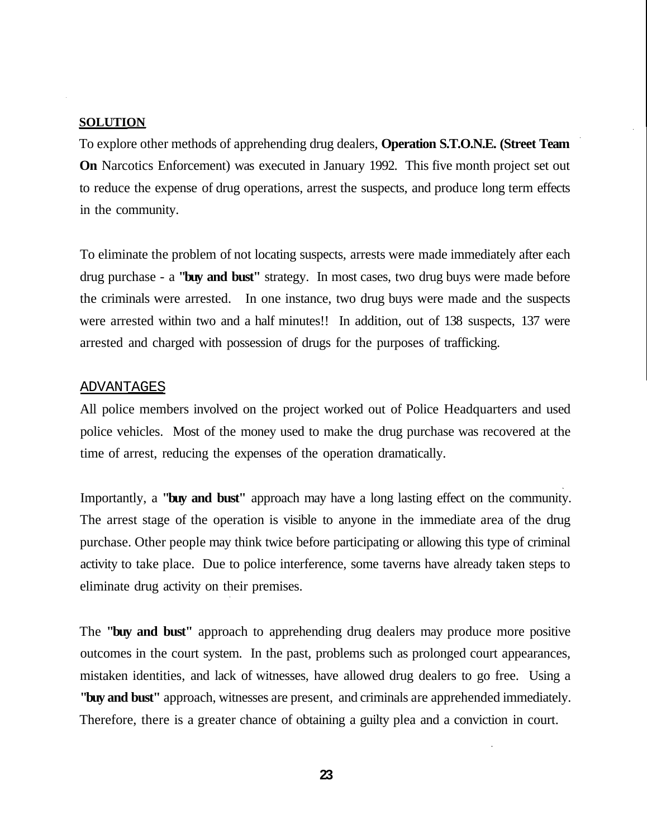#### **SOLUTION**

To explore other methods of apprehending drug dealers, **Operation S.T.O.N.E. (Street Team On** Narcotics Enforcement) was executed in January 1992. This five month project set out to reduce the expense of drug operations, arrest the suspects, and produce long term effects in the community.

To eliminate the problem of not locating suspects, arrests were made immediately after each drug purchase - a **"buy and bust"** strategy. In most cases, two drug buys were made before the criminals were arrested. In one instance, two drug buys were made and the suspects were arrested within two and a half minutes!! In addition, out of 138 suspects, 137 were arrested and charged with possession of drugs for the purposes of trafficking.

#### ADVANTAGES

All police members involved on the project worked out of Police Headquarters and used police vehicles. Most of the money used to make the drug purchase was recovered at the time of arrest, reducing the expenses of the operation dramatically.

Importantly, a **"buy and bust"** approach may have a long lasting effect on the community. The arrest stage of the operation is visible to anyone in the immediate area of the drug purchase. Other people may think twice before participating or allowing this type of criminal activity to take place. Due to police interference, some taverns have already taken steps to eliminate drug activity on their premises.

The **"buy and bust"** approach to apprehending drug dealers may produce more positive outcomes in the court system. In the past, problems such as prolonged court appearances, mistaken identities, and lack of witnesses, have allowed drug dealers to go free. Using a **"buy and bust"** approach, witnesses are present, and criminals are apprehended immediately. Therefore, there is a greater chance of obtaining a guilty plea and a conviction in court.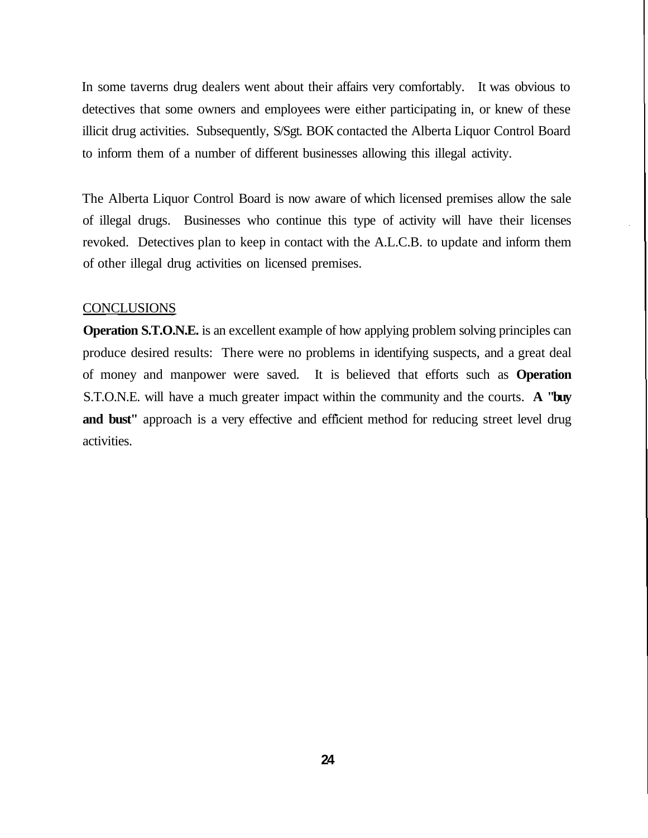In some taverns drug dealers went about their affairs very comfortably. It was obvious to detectives that some owners and employees were either participating in, or knew of these illicit drug activities. Subsequently, S/Sgt. BOK contacted the Alberta Liquor Control Board to inform them of a number of different businesses allowing this illegal activity.

The Alberta Liquor Control Board is now aware of which licensed premises allow the sale of illegal drugs. Businesses who continue this type of activity will have their licenses revoked. Detectives plan to keep in contact with the A.L.C.B. to update and inform them of other illegal drug activities on licensed premises.

#### **CONCLUSIONS**

**Operation S.T.O.N.E.** is an excellent example of how applying problem solving principles can produce desired results: There were no problems in identifying suspects, and a great deal of money and manpower were saved. It is believed that efforts such as **Operation** S.T.O.N.E. will have a much greater impact within the community and the courts. **A "buy** and bust" approach is a very effective and efficient method for reducing street level drug activities.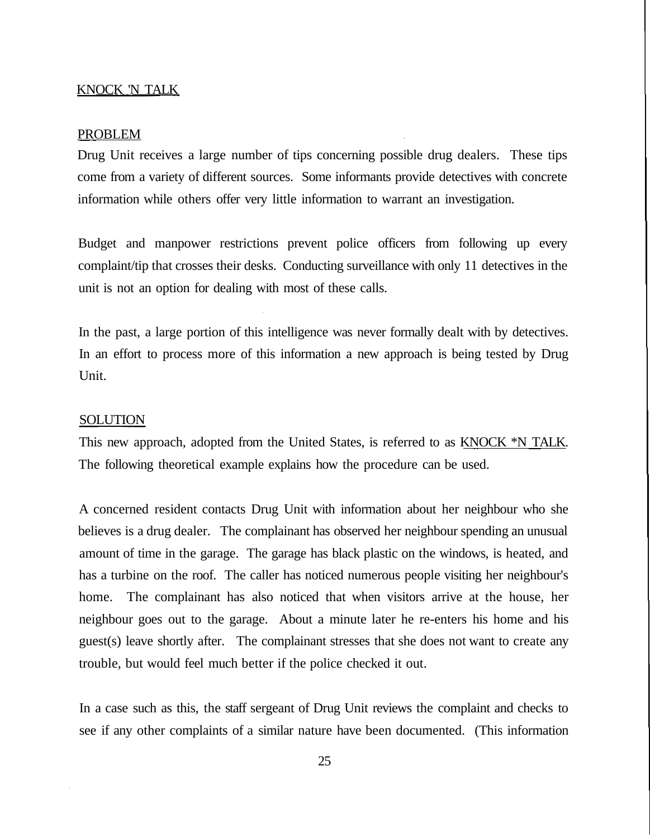#### KNOCK 'N TALK

#### PROBLEM

Drug Unit receives a large number of tips concerning possible drug dealers. These tips come from a variety of different sources. Some informants provide detectives with concrete information while others offer very little information to warrant an investigation.

Budget and manpower restrictions prevent police officers from following up every complaint/tip that crosses their desks. Conducting surveillance with only 11 detectives in the unit is not an option for dealing with most of these calls.

In the past, a large portion of this intelligence was never formally dealt with by detectives. In an effort to process more of this information a new approach is being tested by Drug Unit.

#### SOLUTION

This new approach, adopted from the United States, is referred to as KNOCK \*N TALK. The following theoretical example explains how the procedure can be used.

A concerned resident contacts Drug Unit with information about her neighbour who she believes is a drug dealer. The complainant has observed her neighbour spending an unusual amount of time in the garage. The garage has black plastic on the windows, is heated, and has a turbine on the roof. The caller has noticed numerous people visiting her neighbour's home. The complainant has also noticed that when visitors arrive at the house, her neighbour goes out to the garage. About a minute later he re-enters his home and his guest(s) leave shortly after. The complainant stresses that she does not want to create any trouble, but would feel much better if the police checked it out.

In a case such as this, the staff sergeant of Drug Unit reviews the complaint and checks to see if any other complaints of a similar nature have been documented. (This information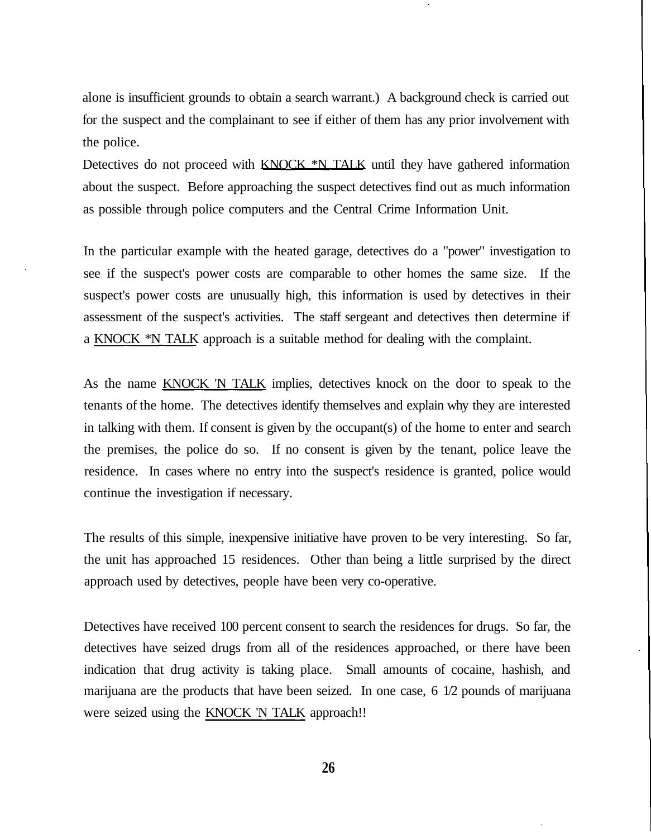alone is insufficient grounds to obtain a search warrant.) A background check is carried out for the suspect and the complainant to see if either of them has any prior involvement with the police.

Detectives do not proceed with  $KNQCK \times N$  TALK until they have gathered information about the suspect. Before approaching the suspect detectives find out as much information as possible through police computers and the Central Crime Information Unit.

In the particular example with the heated garage, detectives do a "power" investigation to see if the suspect's power costs are comparable to other homes the same size. If the suspect's power costs are unusually high, this information is used by detectives in their assessment of the suspect's activities. The staff sergeant and detectives then determine if a KNOCK \*N TALK approach is a suitable method for dealing with the complaint.

As the name KNOCK 'N TALK implies, detectives knock on the door to speak to the tenants of the home. The detectives identify themselves and explain why they are interested in talking with them. If consent is given by the occupant(s) of the home to enter and search the premises, the police do so. If no consent is given by the tenant, police leave the residence. In cases where no entry into the suspect's residence is granted, police would continue the investigation if necessary.

The results of this simple, inexpensive initiative have proven to be very interesting. So far, the unit has approached 15 residences. Other than being a little surprised by the direct approach used by detectives, people have been very co-operative.

Detectives have received 100 percent consent to search the residences for drugs. So far, the detectives have seized drugs from all of the residences approached, or there have been indication that drug activity is taking place. Small amounts of cocaine, hashish, and marijuana are the products that have been seized. In one case, 6 1/2 pounds of marijuana were seized using the KNOCK 'N TALK approach!!

**26**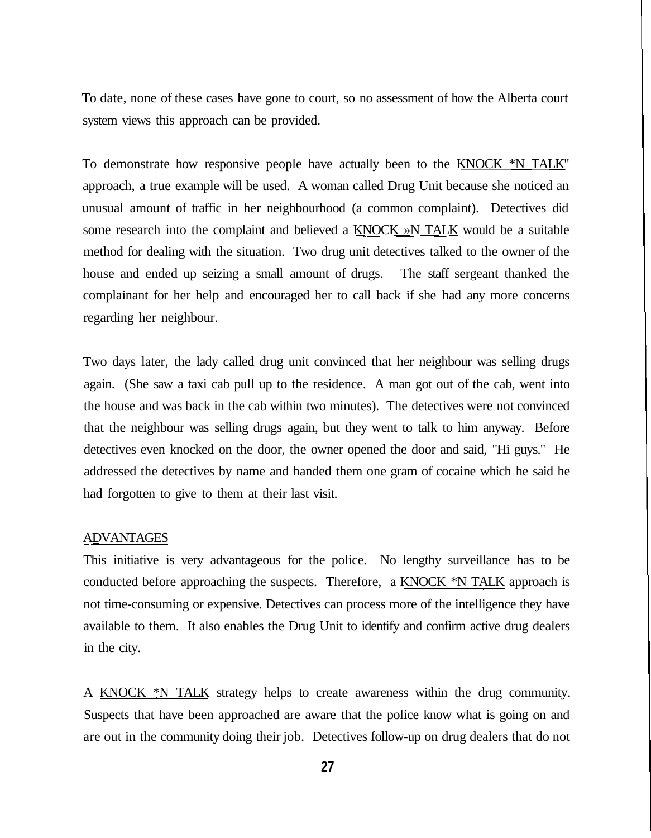To date, none of these cases have gone to court, so no assessment of how the Alberta court system views this approach can be provided.

To demonstrate how responsive people have actually been to the KNOCK \*N TALK" approach, a true example will be used. A woman called Drug Unit because she noticed an unusual amount of traffic in her neighbourhood (a common complaint). Detectives did some research into the complaint and believed a  $KNOCK \gg N\_TALK$  would be a suitable method for dealing with the situation. Two drug unit detectives talked to the owner of the house and ended up seizing a small amount of drugs. The staff sergeant thanked the complainant for her help and encouraged her to call back if she had any more concerns regarding her neighbour.

Two days later, the lady called drug unit convinced that her neighbour was selling drugs again. (She saw a taxi cab pull up to the residence. A man got out of the cab, went into the house and was back in the cab within two minutes). The detectives were not convinced that the neighbour was selling drugs again, but they went to talk to him anyway. Before detectives even knocked on the door, the owner opened the door and said, "Hi guys." He addressed the detectives by name and handed them one gram of cocaine which he said he had forgotten to give to them at their last visit.

#### ADVANTAGES

This initiative is very advantageous for the police. No lengthy surveillance has to be conducted before approaching the suspects. Therefore, a KNOCK  $*N$  TALK approach is not time-consuming or expensive. Detectives can process more of the intelligence they have available to them. It also enables the Drug Unit to identify and confirm active drug dealers in the city.

A KNOCK \*N TALK strategy helps to create awareness within the drug community. Suspects that have been approached are aware that the police know what is going on and are out in the community doing their job. Detectives follow-up on drug dealers that do not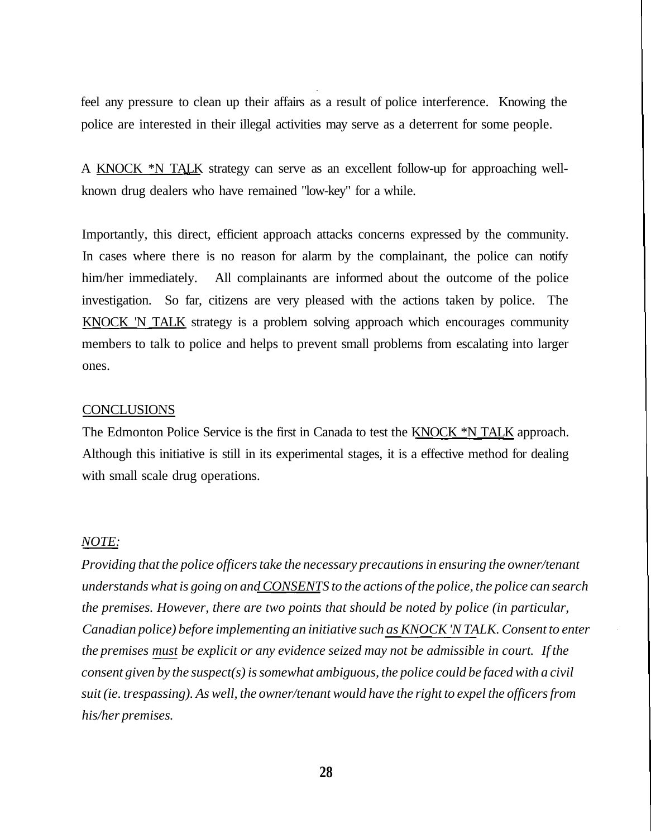feel any pressure to clean up their affairs as a result of police interference. Knowing the police are interested in their illegal activities may serve as a deterrent for some people.

A KNOCK \*N TALK strategy can serve as an excellent follow-up for approaching wellknown drug dealers who have remained "low-key" for a while.

Importantly, this direct, efficient approach attacks concerns expressed by the community. In cases where there is no reason for alarm by the complainant, the police can notify him/her immediately. All complainants are informed about the outcome of the police investigation. So far, citizens are very pleased with the actions taken by police. The KNOCK 'N TALK strategy is a problem solving approach which encourages community members to talk to police and helps to prevent small problems from escalating into larger ones.

#### **CONCLUSIONS**

The Edmonton Police Service is the first in Canada to test the KNOCK \*N TALK approach. Although this initiative is still in its experimental stages, it is a effective method for dealing with small scale drug operations.

#### *NOTE:*

*Providing that the police officers take the necessary precautions in ensuring the owner/tenant understands what is going on and CONSENTS to the actions of the police, the police can search the premises. However, there are two points that should be noted by police (in particular, Canadian police) before implementing an initiative such as KNOCK 'N TALK. Consent to enter the premises must be explicit or any evidence seized may not be admissible in court. If the consent given by the suspect(s) is somewhat ambiguous, the police could be faced with a civil suit (ie. trespassing). As well, the owner/tenant would have the right to expel the officers from his/her premises.*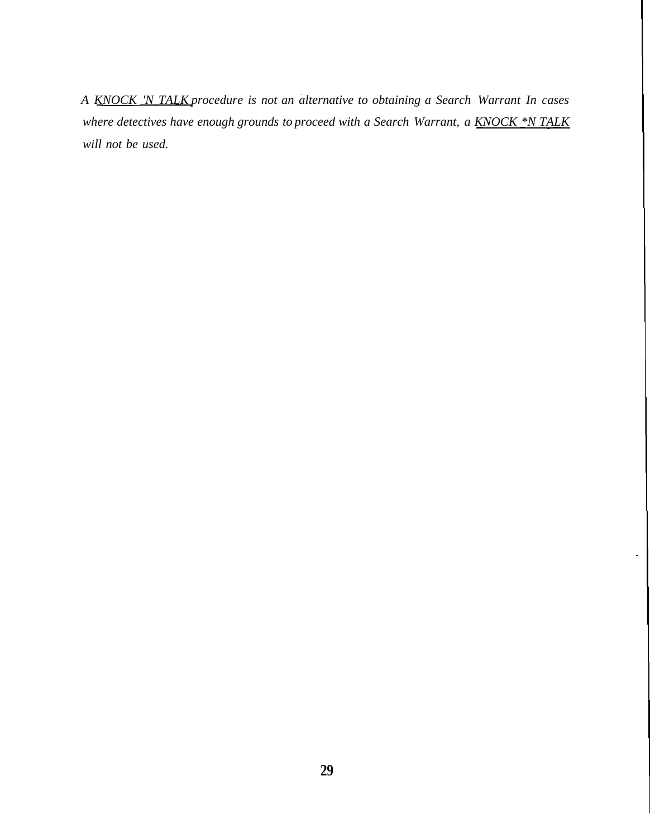*A KNOCK 'N TALK procedure is not an alternative to obtaining a Search Warrant In cases where detectives have enough grounds to proceed with a Search Warrant, a KNOCK \*N TALK will not be used.*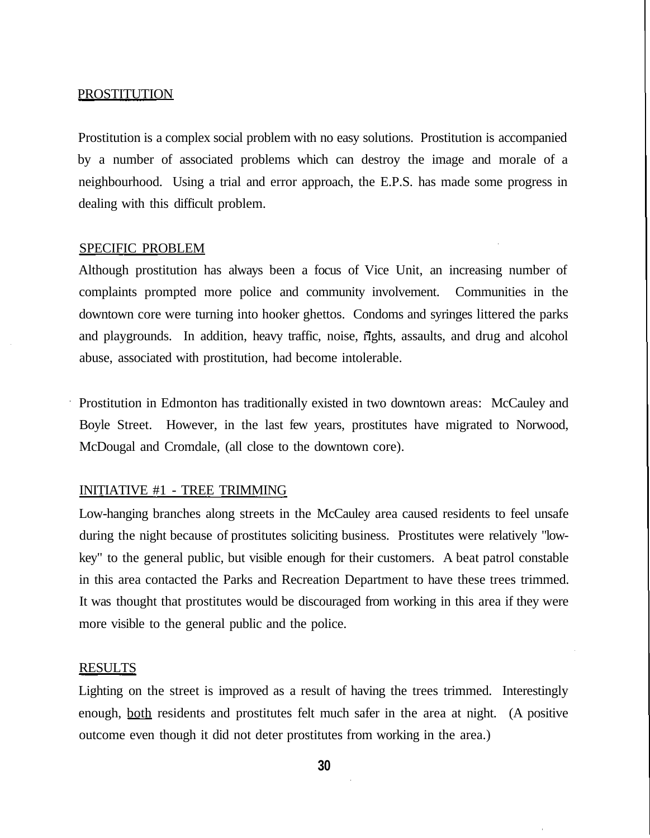#### **PROSTITUTION**

Prostitution is a complex social problem with no easy solutions. Prostitution is accompanied by a number of associated problems which can destroy the image and morale of a neighbourhood. Using a trial and error approach, the E.P.S. has made some progress in dealing with this difficult problem.

#### SPECIFIC PROBLEM

Although prostitution has always been a focus of Vice Unit, an increasing number of complaints prompted more police and community involvement. Communities in the downtown core were turning into hooker ghettos. Condoms and syringes littered the parks and playgrounds. In addition, heavy traffic, noise, rights, assaults, and drug and alcohol abuse, associated with prostitution, had become intolerable.

Prostitution in Edmonton has traditionally existed in two downtown areas: McCauley and Boyle Street. However, in the last few years, prostitutes have migrated to Norwood, McDougal and Cromdale, (all close to the downtown core).

#### INITIATIVE #1 - TREE TRIMMING

Low-hanging branches along streets in the McCauley area caused residents to feel unsafe during the night because of prostitutes soliciting business. Prostitutes were relatively "lowkey" to the general public, but visible enough for their customers. A beat patrol constable in this area contacted the Parks and Recreation Department to have these trees trimmed. It was thought that prostitutes would be discouraged from working in this area if they were more visible to the general public and the police.

#### **RESULTS**

Lighting on the street is improved as a result of having the trees trimmed. Interestingly enough, both residents and prostitutes felt much safer in the area at night. (A positive outcome even though it did not deter prostitutes from working in the area.)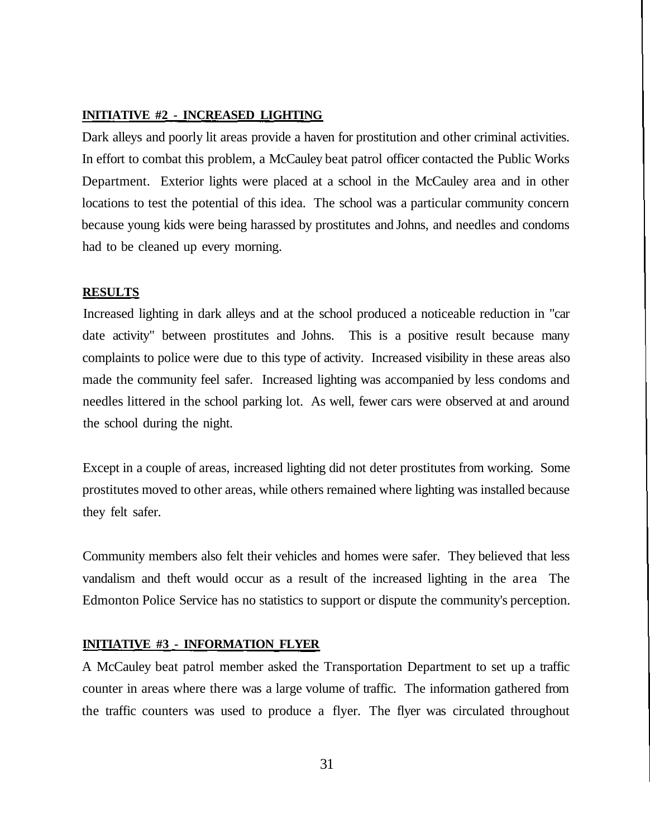#### **INITIATIVE #2 - INCREASED LIGHTING**

Dark alleys and poorly lit areas provide a haven for prostitution and other criminal activities. In effort to combat this problem, a McCauley beat patrol officer contacted the Public Works Department. Exterior lights were placed at a school in the McCauley area and in other locations to test the potential of this idea. The school was a particular community concern because young kids were being harassed by prostitutes and Johns, and needles and condoms had to be cleaned up every morning.

#### **RESULTS**

Increased lighting in dark alleys and at the school produced a noticeable reduction in "car date activity" between prostitutes and Johns. This is a positive result because many complaints to police were due to this type of activity. Increased visibility in these areas also made the community feel safer. Increased lighting was accompanied by less condoms and needles littered in the school parking lot. As well, fewer cars were observed at and around the school during the night.

Except in a couple of areas, increased lighting did not deter prostitutes from working. Some prostitutes moved to other areas, while others remained where lighting was installed because they felt safer.

Community members also felt their vehicles and homes were safer. They believed that less vandalism and theft would occur as a result of the increased lighting in the area The Edmonton Police Service has no statistics to support or dispute the community's perception.

#### **INITIATIVE #3 - INFORMATION FLYER**

A McCauley beat patrol member asked the Transportation Department to set up a traffic counter in areas where there was a large volume of traffic. The information gathered from the traffic counters was used to produce a flyer. The flyer was circulated throughout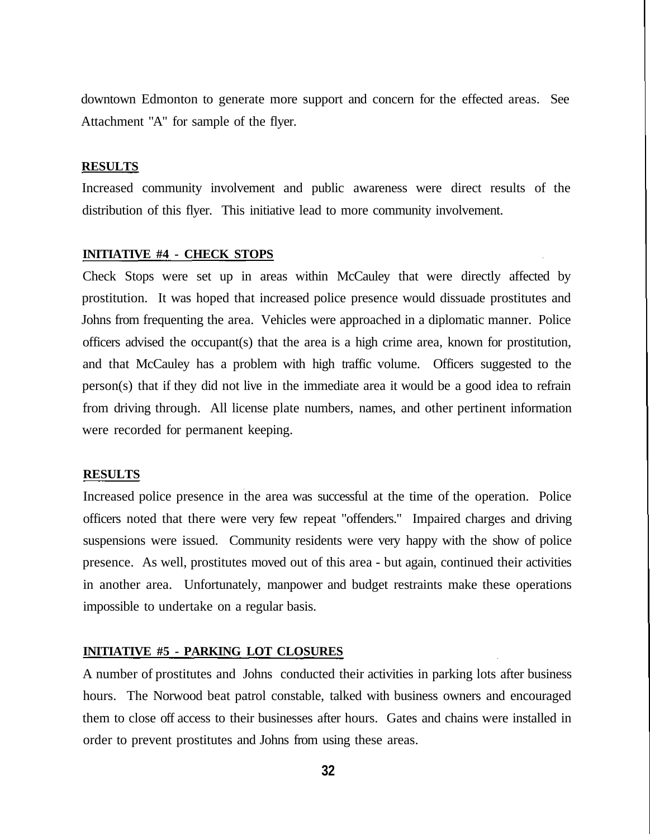downtown Edmonton to generate more support and concern for the effected areas. See Attachment "A" for sample of the flyer.

#### **RESULTS**

Increased community involvement and public awareness were direct results of the distribution of this flyer. This initiative lead to more community involvement.

#### **INITIATIVE #4 - CHECK STOPS**

Check Stops were set up in areas within McCauley that were directly affected by prostitution. It was hoped that increased police presence would dissuade prostitutes and Johns from frequenting the area. Vehicles were approached in a diplomatic manner. Police officers advised the occupant(s) that the area is a high crime area, known for prostitution, and that McCauley has a problem with high traffic volume. Officers suggested to the person(s) that if they did not live in the immediate area it would be a good idea to refrain from driving through. All license plate numbers, names, and other pertinent information were recorded for permanent keeping.

#### **RESULTS**

Increased police presence in the area was successful at the time of the operation. Police officers noted that there were very few repeat "offenders." Impaired charges and driving suspensions were issued. Community residents were very happy with the show of police presence. As well, prostitutes moved out of this area - but again, continued their activities in another area. Unfortunately, manpower and budget restraints make these operations impossible to undertake on a regular basis.

#### **INITIATIVE #5 - PARKING LOT CLOSURES**

A number of prostitutes and Johns conducted their activities in parking lots after business hours. The Norwood beat patrol constable, talked with business owners and encouraged them to close off access to their businesses after hours. Gates and chains were installed in order to prevent prostitutes and Johns from using these areas.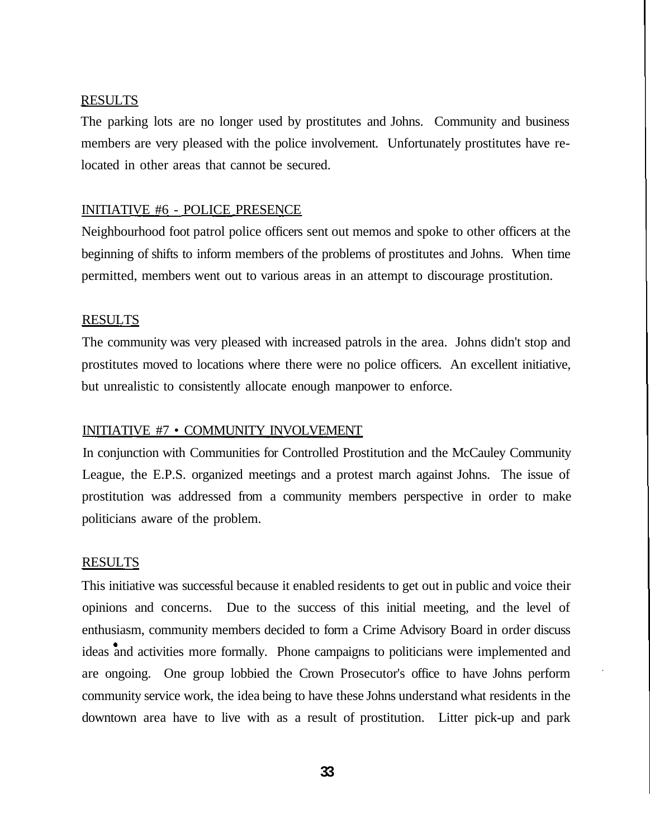#### RESULTS

The parking lots are no longer used by prostitutes and Johns. Community and business members are very pleased with the police involvement. Unfortunately prostitutes have relocated in other areas that cannot be secured.

#### INITIATIVE #6 - POLICE PRESENCE

Neighbourhood foot patrol police officers sent out memos and spoke to other officers at the beginning of shifts to inform members of the problems of prostitutes and Johns. When time permitted, members went out to various areas in an attempt to discourage prostitution.

#### **RESULTS**

The community was very pleased with increased patrols in the area. Johns didn't stop and prostitutes moved to locations where there were no police officers. An excellent initiative, but unrealistic to consistently allocate enough manpower to enforce.

#### INITIATIVE #7 • COMMUNITY INVOLVEMENT

In conjunction with Communities for Controlled Prostitution and the McCauley Community League, the E.P.S. organized meetings and a protest march against Johns. The issue of prostitution was addressed from a community members perspective in order to make politicians aware of the problem.

#### RESULTS

This initiative was successful because it enabled residents to get out in public and voice their opinions and concerns. Due to the success of this initial meeting, and the level of enthusiasm, community members decided to form a Crime Advisory Board in order discuss ideas and activities more formally. Phone campaigns to politicians were implemented and are ongoing. One group lobbied the Crown Prosecutor's office to have Johns perform community service work, the idea being to have these Johns understand what residents in the downtown area have to live with as a result of prostitution. Litter pick-up and park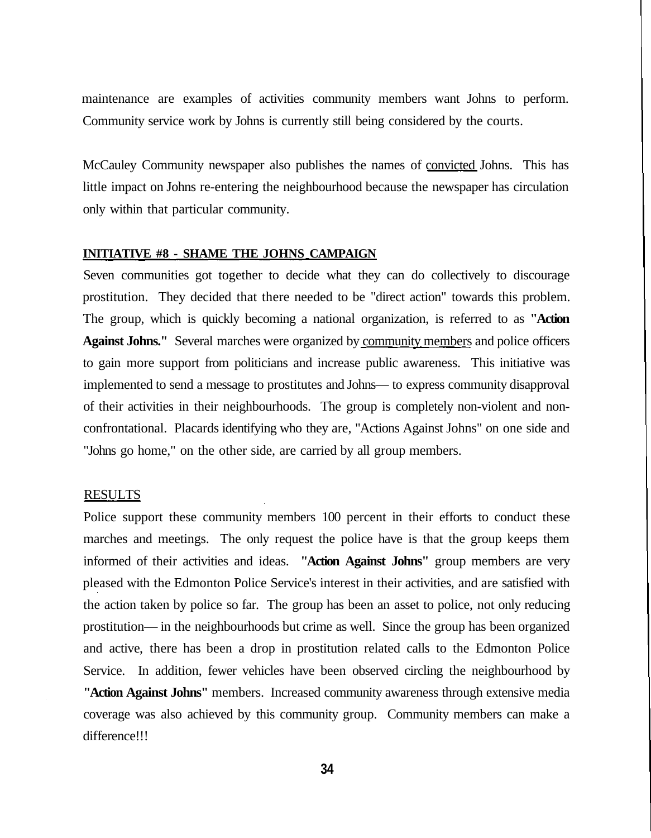maintenance are examples of activities community members want Johns to perform. Community service work by Johns is currently still being considered by the courts.

McCauley Community newspaper also publishes the names of convicted Johns. This has little impact on Johns re-entering the neighbourhood because the newspaper has circulation only within that particular community.

#### **INITIATIVE #8 - SHAME THE JOHNS CAMPAIGN**

Seven communities got together to decide what they can do collectively to discourage prostitution. They decided that there needed to be "direct action" towards this problem. The group, which is quickly becoming a national organization, is referred to as **"Action Against Johns."** Several marches were organized by community members and police officers to gain more support from politicians and increase public awareness. This initiative was implemented to send a message to prostitutes and Johns— to express community disapproval of their activities in their neighbourhoods. The group is completely non-violent and nonconfrontational. Placards identifying who they are, "Actions Against Johns" on one side and "Johns go home," on the other side, are carried by all group members.

#### **RESULTS**

Police support these community members 100 percent in their efforts to conduct these marches and meetings. The only request the police have is that the group keeps them informed of their activities and ideas. **"Action Against Johns"** group members are very pleased with the Edmonton Police Service's interest in their activities, and are satisfied with the action taken by police so far. The group has been an asset to police, not only reducing prostitution— in the neighbourhoods but crime as well. Since the group has been organized and active, there has been a drop in prostitution related calls to the Edmonton Police Service. In addition, fewer vehicles have been observed circling the neighbourhood by **"Action Against Johns"** members. Increased community awareness through extensive media coverage was also achieved by this community group. Community members can make a difference!!!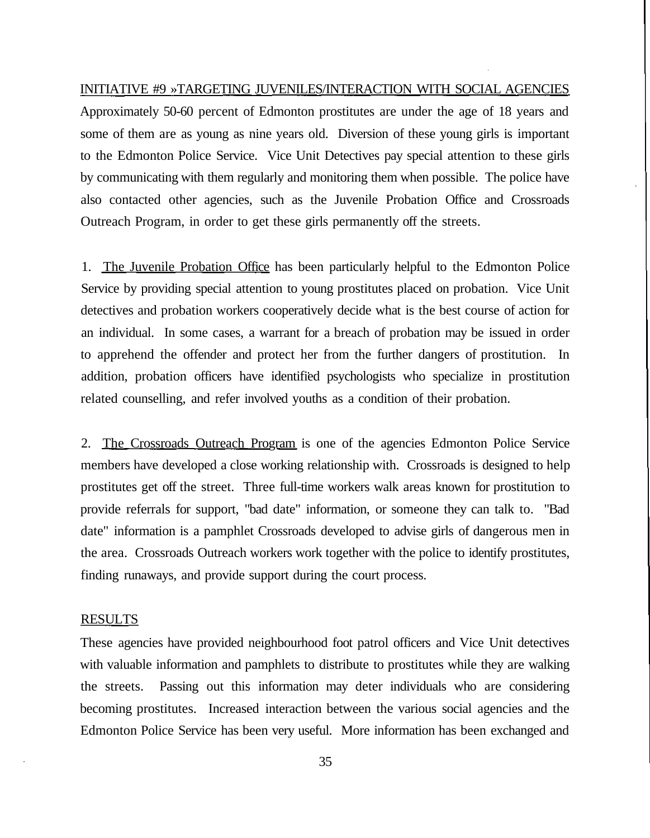INITIATIVE #9 »TARGETING JUVENILES/INTERACTION WITH SOCIAL AGENCIES

Approximately 50-60 percent of Edmonton prostitutes are under the age of 18 years and some of them are as young as nine years old. Diversion of these young girls is important to the Edmonton Police Service. Vice Unit Detectives pay special attention to these girls by communicating with them regularly and monitoring them when possible. The police have also contacted other agencies, such as the Juvenile Probation Office and Crossroads Outreach Program, in order to get these girls permanently off the streets.

1. The Juvenile Probation Office has been particularly helpful to the Edmonton Police Service by providing special attention to young prostitutes placed on probation. Vice Unit detectives and probation workers cooperatively decide what is the best course of action for an individual. In some cases, a warrant for a breach of probation may be issued in order to apprehend the offender and protect her from the further dangers of prostitution. In addition, probation officers have identified psychologists who specialize in prostitution related counselling, and refer involved youths as a condition of their probation.

2. The Crossroads Outreach Program is one of the agencies Edmonton Police Service members have developed a close working relationship with. Crossroads is designed to help prostitutes get off the street. Three full-time workers walk areas known for prostitution to provide referrals for support, "bad date" information, or someone they can talk to. "Bad date" information is a pamphlet Crossroads developed to advise girls of dangerous men in the area. Crossroads Outreach workers work together with the police to identify prostitutes, finding runaways, and provide support during the court process.

#### **RESULTS**

These agencies have provided neighbourhood foot patrol officers and Vice Unit detectives with valuable information and pamphlets to distribute to prostitutes while they are walking the streets. Passing out this information may deter individuals who are considering becoming prostitutes. Increased interaction between the various social agencies and the Edmonton Police Service has been very useful. More information has been exchanged and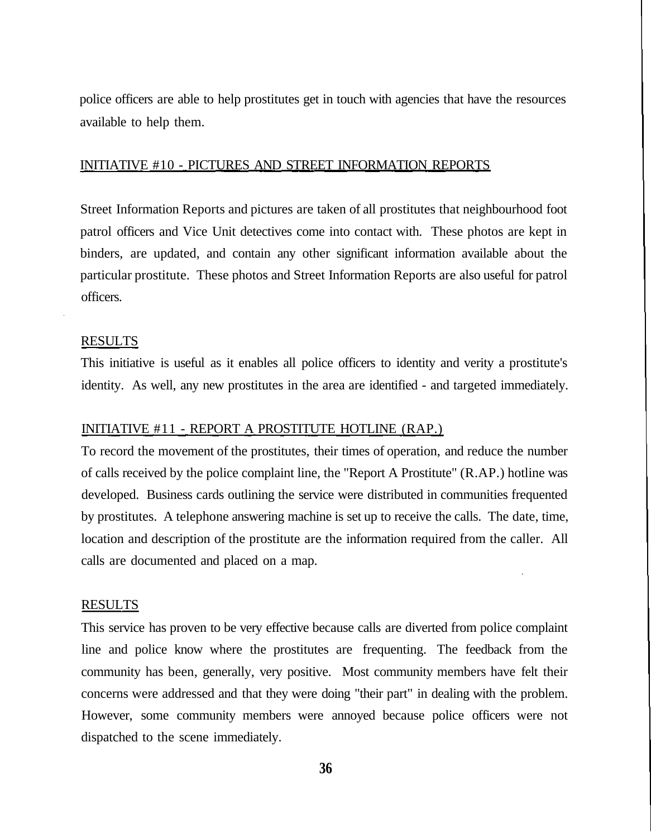police officers are able to help prostitutes get in touch with agencies that have the resources available to help them.

#### INITIATIVE #10 - PICTURES AND STREET INFORMATION REPORTS

Street Information Reports and pictures are taken of all prostitutes that neighbourhood foot patrol officers and Vice Unit detectives come into contact with. These photos are kept in binders, are updated, and contain any other significant information available about the particular prostitute. These photos and Street Information Reports are also useful for patrol officers.

#### RESULTS

This initiative is useful as it enables all police officers to identity and verity a prostitute's identity. As well, any new prostitutes in the area are identified - and targeted immediately.

#### INITIATIVE #11 - REPORT A PROSTITUTE HOTLINE (RAP.)

To record the movement of the prostitutes, their times of operation, and reduce the number of calls received by the police complaint line, the "Report A Prostitute" (R.AP.) hotline was developed. Business cards outlining the service were distributed in communities frequented by prostitutes. A telephone answering machine is set up to receive the calls. The date, time, location and description of the prostitute are the information required from the caller. All calls are documented and placed on a map.

#### **RESULTS**

This service has proven to be very effective because calls are diverted from police complaint line and police know where the prostitutes are frequenting. The feedback from the community has been, generally, very positive. Most community members have felt their concerns were addressed and that they were doing "their part" in dealing with the problem. However, some community members were annoyed because police officers were not dispatched to the scene immediately.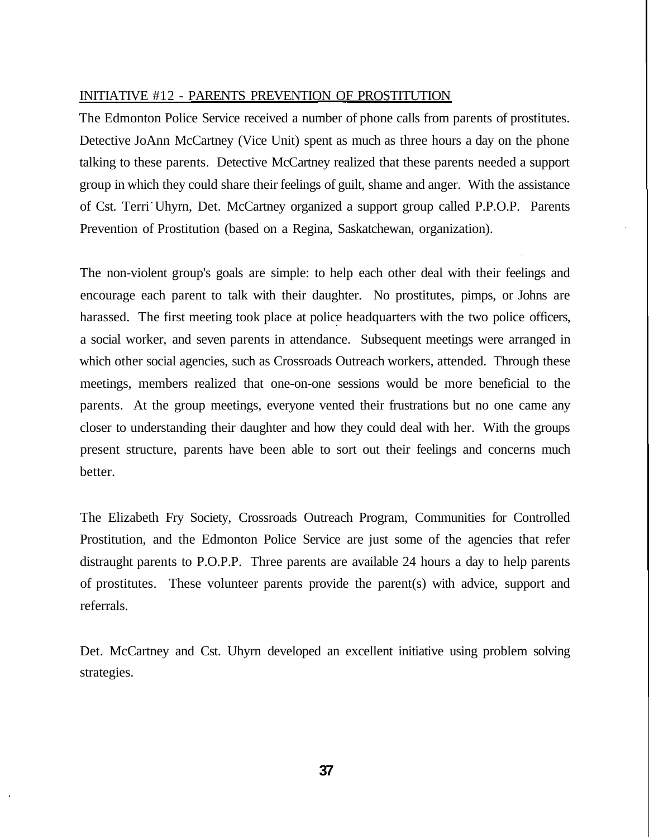#### INITIATIVE #12 - PARENTS PREVENTION OF PROSTITUTION

The Edmonton Police Service received a number of phone calls from parents of prostitutes. Detective JoAnn McCartney (Vice Unit) spent as much as three hours a day on the phone talking to these parents. Detective McCartney realized that these parents needed a support group in which they could share their feelings of guilt, shame and anger. With the assistance of Cst. Terri Uhyrn, Det. McCartney organized a support group called P.P.O.P. Parents Prevention of Prostitution (based on a Regina, Saskatchewan, organization).

The non-violent group's goals are simple: to help each other deal with their feelings and encourage each parent to talk with their daughter. No prostitutes, pimps, or Johns are harassed. The first meeting took place at police headquarters with the two police officers, a social worker, and seven parents in attendance. Subsequent meetings were arranged in which other social agencies, such as Crossroads Outreach workers, attended. Through these meetings, members realized that one-on-one sessions would be more beneficial to the parents. At the group meetings, everyone vented their frustrations but no one came any closer to understanding their daughter and how they could deal with her. With the groups present structure, parents have been able to sort out their feelings and concerns much better.

The Elizabeth Fry Society, Crossroads Outreach Program, Communities for Controlled Prostitution, and the Edmonton Police Service are just some of the agencies that refer distraught parents to P.O.P.P. Three parents are available 24 hours a day to help parents of prostitutes. These volunteer parents provide the parent(s) with advice, support and referrals.

Det. McCartney and Cst. Uhyrn developed an excellent initiative using problem solving strategies.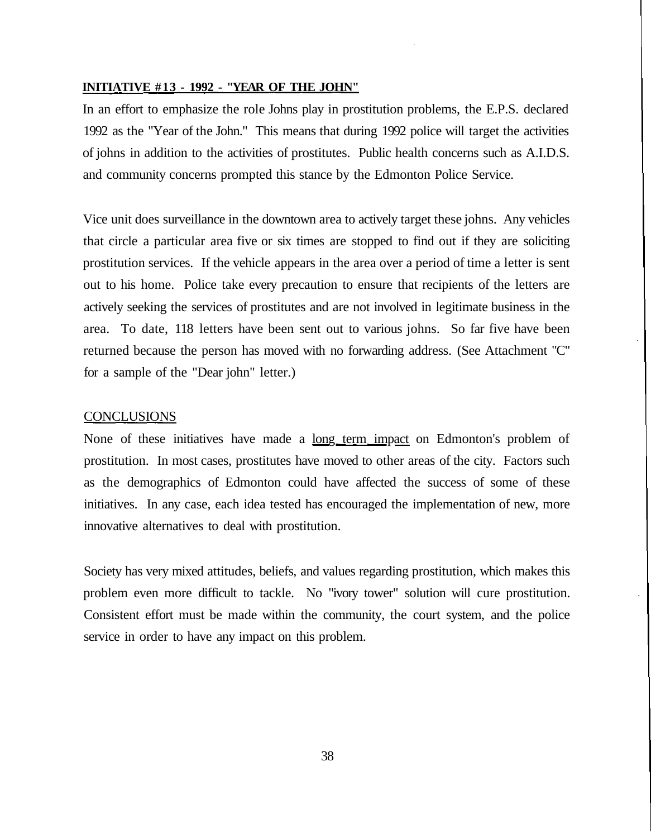#### **INITIATIVE #13 - 1992 - "YEAR OF THE JOHN"**

In an effort to emphasize the role Johns play in prostitution problems, the E.P.S. declared 1992 as the "Year of the John." This means that during 1992 police will target the activities of johns in addition to the activities of prostitutes. Public health concerns such as A.I.D.S. and community concerns prompted this stance by the Edmonton Police Service.

Vice unit does surveillance in the downtown area to actively target these johns. Any vehicles that circle a particular area five or six times are stopped to find out if they are soliciting prostitution services. If the vehicle appears in the area over a period of time a letter is sent out to his home. Police take every precaution to ensure that recipients of the letters are actively seeking the services of prostitutes and are not involved in legitimate business in the area. To date, 118 letters have been sent out to various johns. So far five have been returned because the person has moved with no forwarding address. (See Attachment "C" for a sample of the "Dear john" letter.)

#### **CONCLUSIONS**

None of these initiatives have made a <u>long term impact</u> on Edmonton's problem of prostitution. In most cases, prostitutes have moved to other areas of the city. Factors such as the demographics of Edmonton could have affected the success of some of these initiatives. In any case, each idea tested has encouraged the implementation of new, more innovative alternatives to deal with prostitution.

Society has very mixed attitudes, beliefs, and values regarding prostitution, which makes this problem even more difficult to tackle. No "ivory tower" solution will cure prostitution. Consistent effort must be made within the community, the court system, and the police service in order to have any impact on this problem.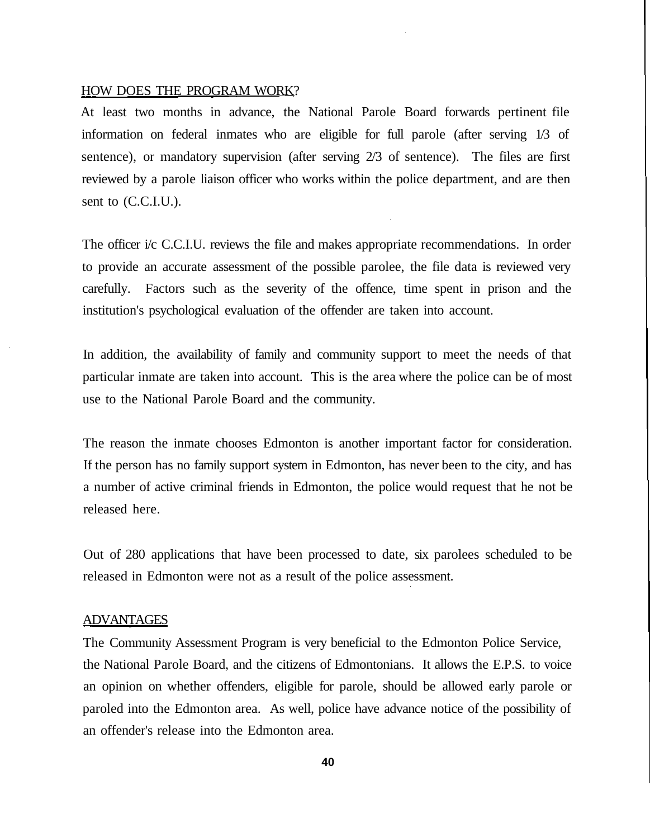#### HOW DOES THE PROGRAM WORK?

At least two months in advance, the National Parole Board forwards pertinent file information on federal inmates who are eligible for full parole (after serving 1/3 of sentence), or mandatory supervision (after serving 2/3 of sentence). The files are first reviewed by a parole liaison officer who works within the police department, and are then sent to (C.C.I.U.).

The officer i/c C.C.I.U. reviews the file and makes appropriate recommendations. In order to provide an accurate assessment of the possible parolee, the file data is reviewed very carefully. Factors such as the severity of the offence, time spent in prison and the institution's psychological evaluation of the offender are taken into account.

In addition, the availability of family and community support to meet the needs of that particular inmate are taken into account. This is the area where the police can be of most use to the National Parole Board and the community.

The reason the inmate chooses Edmonton is another important factor for consideration. If the person has no family support system in Edmonton, has never been to the city, and has a number of active criminal friends in Edmonton, the police would request that he not be released here.

Out of 280 applications that have been processed to date, six parolees scheduled to be released in Edmonton were not as a result of the police assessment.

#### ADVANTAGES

The Community Assessment Program is very beneficial to the Edmonton Police Service, the National Parole Board, and the citizens of Edmontonians. It allows the E.P.S. to voice an opinion on whether offenders, eligible for parole, should be allowed early parole or paroled into the Edmonton area. As well, police have advance notice of the possibility of an offender's release into the Edmonton area.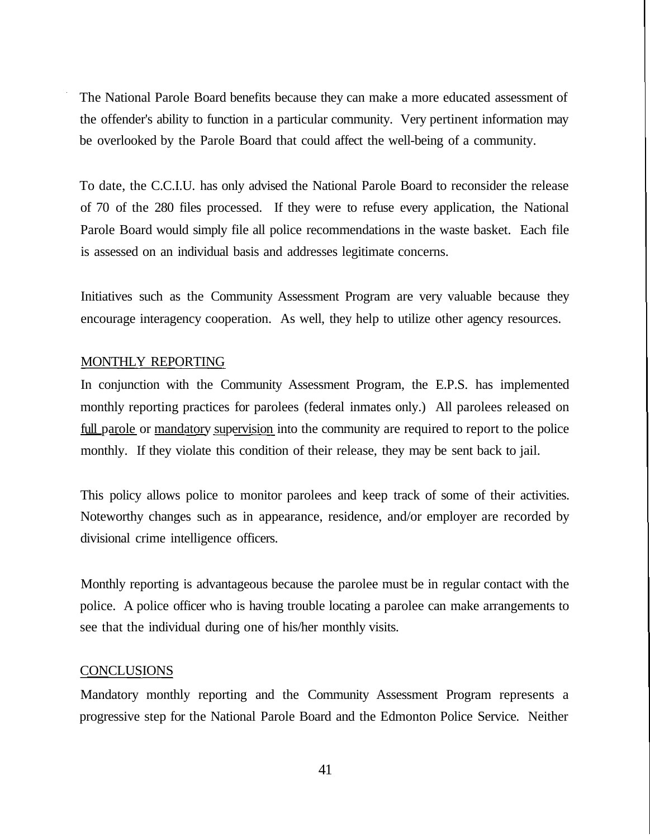The National Parole Board benefits because they can make a more educated assessment of the offender's ability to function in a particular community. Very pertinent information may be overlooked by the Parole Board that could affect the well-being of a community.

To date, the C.C.I.U. has only advised the National Parole Board to reconsider the release of 70 of the 280 files processed. If they were to refuse every application, the National Parole Board would simply file all police recommendations in the waste basket. Each file is assessed on an individual basis and addresses legitimate concerns.

Initiatives such as the Community Assessment Program are very valuable because they encourage interagency cooperation. As well, they help to utilize other agency resources.

#### MONTHLY REPORTING

In conjunction with the Community Assessment Program, the E.P.S. has implemented monthly reporting practices for parolees (federal inmates only.) All parolees released on full parole or mandatory supervision into the community are required to report to the police monthly. If they violate this condition of their release, they may be sent back to jail.

This policy allows police to monitor parolees and keep track of some of their activities. Noteworthy changes such as in appearance, residence, and/or employer are recorded by divisional crime intelligence officers.

Monthly reporting is advantageous because the parolee must be in regular contact with the police. A police officer who is having trouble locating a parolee can make arrangements to see that the individual during one of his/her monthly visits.

#### **CONCLUSIONS**

Mandatory monthly reporting and the Community Assessment Program represents a progressive step for the National Parole Board and the Edmonton Police Service. Neither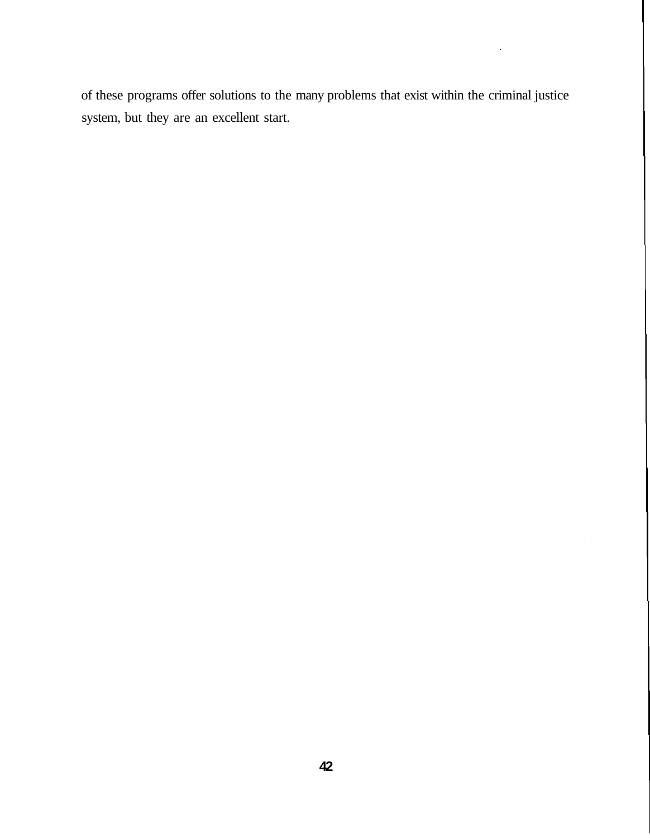of these programs offer solutions to the many problems that exist within the criminal justice system, but they are an excellent start.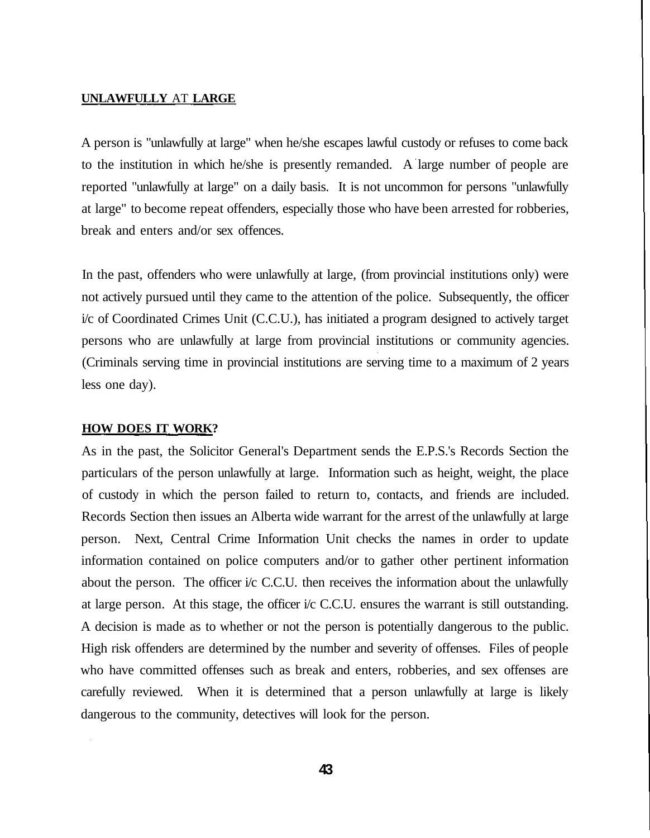#### **UNLAWFULLY** AT **LARGE**

A person is "unlawfully at large" when he/she escapes lawful custody or refuses to come back to the institution in which he/she is presently remanded. A large number of people are reported "unlawfully at large" on a daily basis. It is not uncommon for persons "unlawfully at large" to become repeat offenders, especially those who have been arrested for robberies, break and enters and/or sex offences.

In the past, offenders who were unlawfully at large, (from provincial institutions only) were not actively pursued until they came to the attention of the police. Subsequently, the officer i/c of Coordinated Crimes Unit (C.C.U.), has initiated a program designed to actively target persons who are unlawfully at large from provincial institutions or community agencies. (Criminals serving time in provincial institutions are serving time to a maximum of 2 years less one day).

#### **HOW DOES IT WORK?**

As in the past, the Solicitor General's Department sends the E.P.S.'s Records Section the particulars of the person unlawfully at large. Information such as height, weight, the place of custody in which the person failed to return to, contacts, and friends are included. Records Section then issues an Alberta wide warrant for the arrest of the unlawfully at large person. Next, Central Crime Information Unit checks the names in order to update information contained on police computers and/or to gather other pertinent information about the person. The officer i/c C.C.U. then receives the information about the unlawfully at large person. At this stage, the officer i/c C.C.U. ensures the warrant is still outstanding. A decision is made as to whether or not the person is potentially dangerous to the public. High risk offenders are determined by the number and severity of offenses. Files of people who have committed offenses such as break and enters, robberies, and sex offenses are carefully reviewed. When it is determined that a person unlawfully at large is likely dangerous to the community, detectives will look for the person.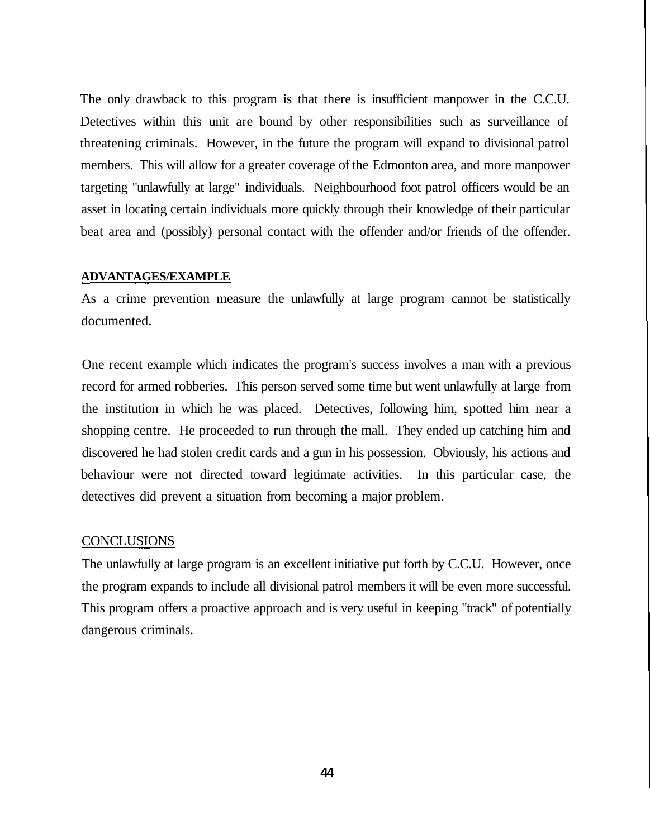The only drawback to this program is that there is insufficient manpower in the C.C.U. Detectives within this unit are bound by other responsibilities such as surveillance of threatening criminals. However, in the future the program will expand to divisional patrol members. This will allow for a greater coverage of the Edmonton area, and more manpower targeting "unlawfully at large" individuals. Neighbourhood foot patrol officers would be an asset in locating certain individuals more quickly through their knowledge of their particular beat area and (possibly) personal contact with the offender and/or friends of the offender.

#### **ADVANTAGES/EXAMPLE**

As a crime prevention measure the unlawfully at large program cannot be statistically documented.

One recent example which indicates the program's success involves a man with a previous record for armed robberies. This person served some time but went unlawfully at large from the institution in which he was placed. Detectives, following him, spotted him near a shopping centre. He proceeded to run through the mall. They ended up catching him and discovered he had stolen credit cards and a gun in his possession. Obviously, his actions and behaviour were not directed toward legitimate activities. In this particular case, the detectives did prevent a situation from becoming a major problem.

#### **CONCLUSIONS**

The unlawfully at large program is an excellent initiative put forth by C.C.U. However, once the program expands to include all divisional patrol members it will be even more successful. This program offers a proactive approach and is very useful in keeping "track" of potentially dangerous criminals.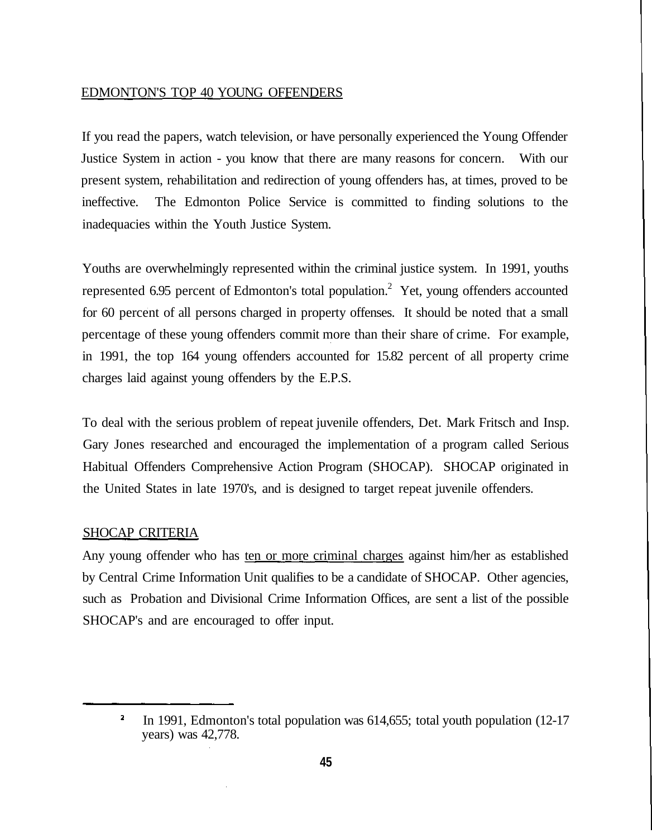#### EDMONTON'S TOP 40 YOUNG OFFENDERS

If you read the papers, watch television, or have personally experienced the Young Offender Justice System in action - you know that there are many reasons for concern. With our present system, rehabilitation and redirection of young offenders has, at times, proved to be ineffective. The Edmonton Police Service is committed to finding solutions to the inadequacies within the Youth Justice System.

Youths are overwhelmingly represented within the criminal justice system. In 1991, youths represented 6.95 percent of Edmonton's total population.<sup>2</sup> Yet, young offenders accounted for 60 percent of all persons charged in property offenses. It should be noted that a small percentage of these young offenders commit more than their share of crime. For example, in 1991, the top 164 young offenders accounted for 15.82 percent of all property crime charges laid against young offenders by the E.P.S.

To deal with the serious problem of repeat juvenile offenders, Det. Mark Fritsch and Insp. Gary Jones researched and encouraged the implementation of a program called Serious Habitual Offenders Comprehensive Action Program (SHOCAP). SHOCAP originated in the United States in late 1970's, and is designed to target repeat juvenile offenders.

#### SHOCAP CRITERIA

Any young offender who has ten or more criminal charges against him/her as established by Central Crime Information Unit qualifies to be a candidate of SHOCAP. Other agencies, such as Probation and Divisional Crime Information Offices, are sent a list of the possible SHOCAP's and are encouraged to offer input.

In 1991, Edmonton's total population was 614,655; total youth population (12-17 years) was 42,778.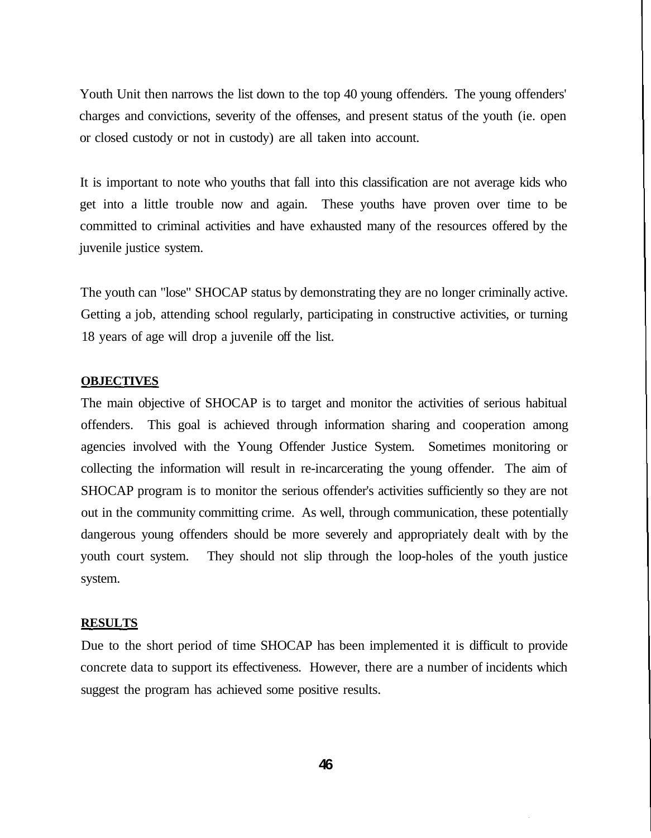Youth Unit then narrows the list down to the top 40 young offenders. The young offenders' charges and convictions, severity of the offenses, and present status of the youth (ie. open or closed custody or not in custody) are all taken into account.

It is important to note who youths that fall into this classification are not average kids who get into a little trouble now and again. These youths have proven over time to be committed to criminal activities and have exhausted many of the resources offered by the juvenile justice system.

The youth can "lose" SHOCAP status by demonstrating they are no longer criminally active. Getting a job, attending school regularly, participating in constructive activities, or turning 18 years of age will drop a juvenile off the list.

#### **OBJECTIVES**

The main objective of SHOCAP is to target and monitor the activities of serious habitual offenders. This goal is achieved through information sharing and cooperation among agencies involved with the Young Offender Justice System. Sometimes monitoring or collecting the information will result in re-incarcerating the young offender. The aim of SHOCAP program is to monitor the serious offender's activities sufficiently so they are not out in the community committing crime. As well, through communication, these potentially dangerous young offenders should be more severely and appropriately dealt with by the youth court system. They should not slip through the loop-holes of the youth justice system.

#### **RESULTS**

Due to the short period of time SHOCAP has been implemented it is difficult to provide concrete data to support its effectiveness. However, there are a number of incidents which suggest the program has achieved some positive results.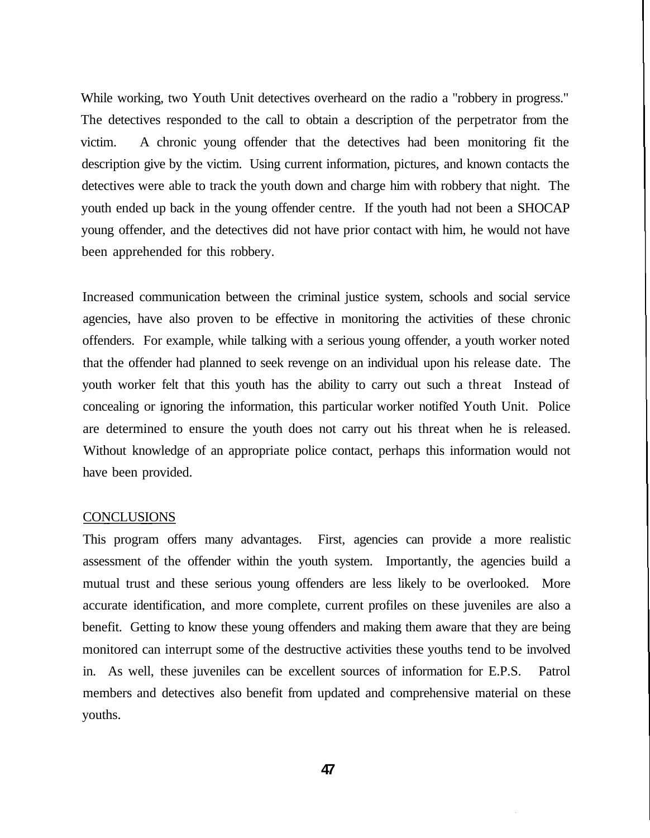While working, two Youth Unit detectives overheard on the radio a "robbery in progress." The detectives responded to the call to obtain a description of the perpetrator from the victim. A chronic young offender that the detectives had been monitoring fit the description give by the victim. Using current information, pictures, and known contacts the detectives were able to track the youth down and charge him with robbery that night. The youth ended up back in the young offender centre. If the youth had not been a SHOCAP young offender, and the detectives did not have prior contact with him, he would not have been apprehended for this robbery.

Increased communication between the criminal justice system, schools and social service agencies, have also proven to be effective in monitoring the activities of these chronic offenders. For example, while talking with a serious young offender, a youth worker noted that the offender had planned to seek revenge on an individual upon his release date. The youth worker felt that this youth has the ability to carry out such a threat Instead of concealing or ignoring the information, this particular worker notified Youth Unit. Police are determined to ensure the youth does not carry out his threat when he is released. Without knowledge of an appropriate police contact, perhaps this information would not have been provided.

#### CONCLUSIONS

This program offers many advantages. First, agencies can provide a more realistic assessment of the offender within the youth system. Importantly, the agencies build a mutual trust and these serious young offenders are less likely to be overlooked. More accurate identification, and more complete, current profiles on these juveniles are also a benefit. Getting to know these young offenders and making them aware that they are being monitored can interrupt some of the destructive activities these youths tend to be involved in. As well, these juveniles can be excellent sources of information for E.P.S. Patrol members and detectives also benefit from updated and comprehensive material on these youths.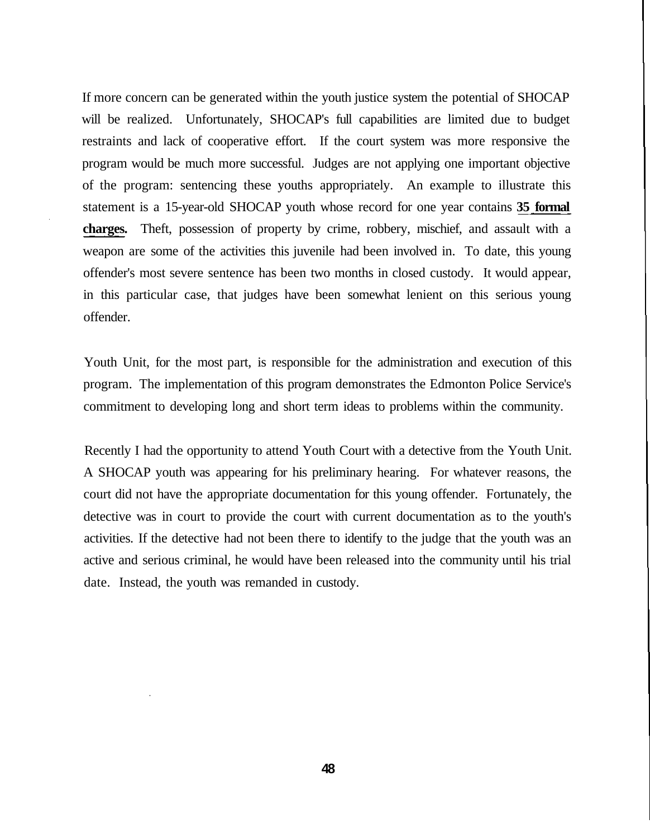If more concern can be generated within the youth justice system the potential of SHOCAP will be realized. Unfortunately, SHOCAP's full capabilities are limited due to budget restraints and lack of cooperative effort. If the court system was more responsive the program would be much more successful. Judges are not applying one important objective of the program: sentencing these youths appropriately. An example to illustrate this statement is a 15-year-old SHOCAP youth whose record for one year contains **35 formal charges.** Theft, possession of property by crime, robbery, mischief, and assault with a weapon are some of the activities this juvenile had been involved in. To date, this young offender's most severe sentence has been two months in closed custody. It would appear, in this particular case, that judges have been somewhat lenient on this serious young offender.

Youth Unit, for the most part, is responsible for the administration and execution of this program. The implementation of this program demonstrates the Edmonton Police Service's commitment to developing long and short term ideas to problems within the community.

Recently I had the opportunity to attend Youth Court with a detective from the Youth Unit. A SHOCAP youth was appearing for his preliminary hearing. For whatever reasons, the court did not have the appropriate documentation for this young offender. Fortunately, the detective was in court to provide the court with current documentation as to the youth's activities. If the detective had not been there to identify to the judge that the youth was an active and serious criminal, he would have been released into the community until his trial date. Instead, the youth was remanded in custody.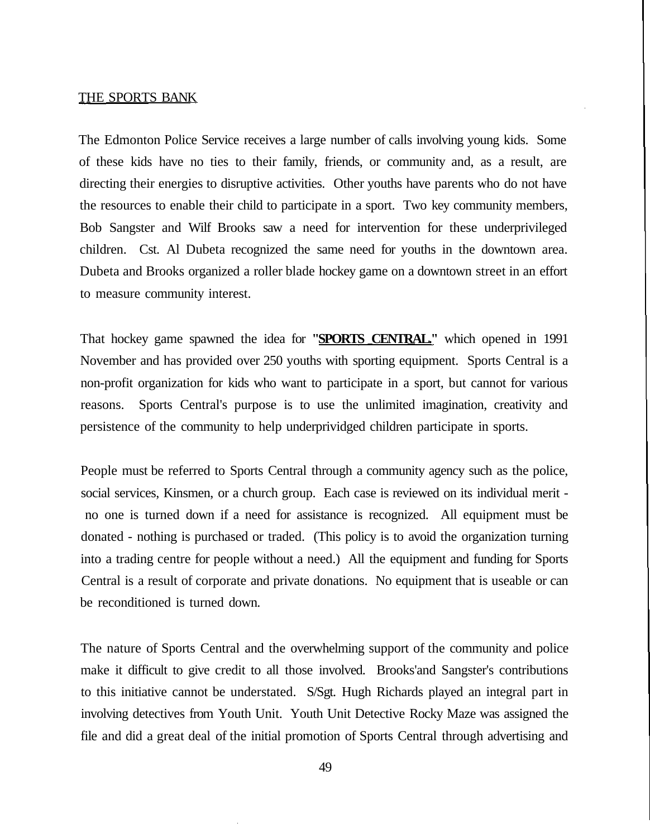#### THE SPORTS BANK

The Edmonton Police Service receives a large number of calls involving young kids. Some of these kids have no ties to their family, friends, or community and, as a result, are directing their energies to disruptive activities. Other youths have parents who do not have the resources to enable their child to participate in a sport. Two key community members, Bob Sangster and Wilf Brooks saw a need for intervention for these underprivileged children. Cst. Al Dubeta recognized the same need for youths in the downtown area. Dubeta and Brooks organized a roller blade hockey game on a downtown street in an effort to measure community interest.

That hockey game spawned the idea for **"SPORTS CENTRAL."** which opened in 1991 November and has provided over 250 youths with sporting equipment. Sports Central is a non-profit organization for kids who want to participate in a sport, but cannot for various reasons. Sports Central's purpose is to use the unlimited imagination, creativity and persistence of the community to help underprividged children participate in sports.

People must be referred to Sports Central through a community agency such as the police, social services, Kinsmen, or a church group. Each case is reviewed on its individual merit no one is turned down if a need for assistance is recognized. All equipment must be donated - nothing is purchased or traded. (This policy is to avoid the organization turning into a trading centre for people without a need.) All the equipment and funding for Sports Central is a result of corporate and private donations. No equipment that is useable or can be reconditioned is turned down.

The nature of Sports Central and the overwhelming support of the community and police make it difficult to give credit to all those involved. Brooks'and Sangster's contributions to this initiative cannot be understated. S/Sgt. Hugh Richards played an integral part in involving detectives from Youth Unit. Youth Unit Detective Rocky Maze was assigned the file and did a great deal of the initial promotion of Sports Central through advertising and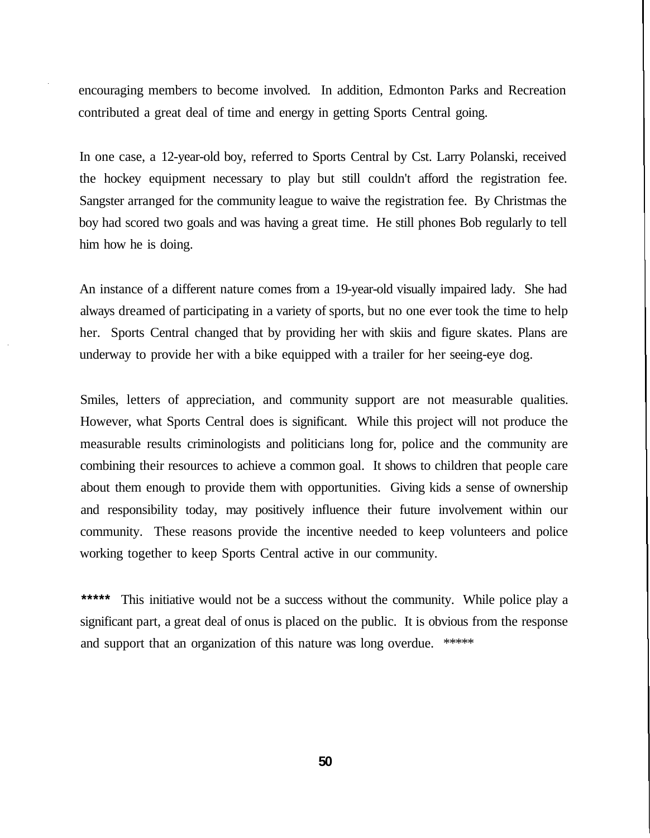encouraging members to become involved. In addition, Edmonton Parks and Recreation contributed a great deal of time and energy in getting Sports Central going.

In one case, a 12-year-old boy, referred to Sports Central by Cst. Larry Polanski, received the hockey equipment necessary to play but still couldn't afford the registration fee. Sangster arranged for the community league to waive the registration fee. By Christmas the boy had scored two goals and was having a great time. He still phones Bob regularly to tell him how he is doing.

An instance of a different nature comes from a 19-year-old visually impaired lady. She had always dreamed of participating in a variety of sports, but no one ever took the time to help her. Sports Central changed that by providing her with skiis and figure skates. Plans are underway to provide her with a bike equipped with a trailer for her seeing-eye dog.

Smiles, letters of appreciation, and community support are not measurable qualities. However, what Sports Central does is significant. While this project will not produce the measurable results criminologists and politicians long for, police and the community are combining their resources to achieve a common goal. It shows to children that people care about them enough to provide them with opportunities. Giving kids a sense of ownership and responsibility today, may positively influence their future involvement within our community. These reasons provide the incentive needed to keep volunteers and police working together to keep Sports Central active in our community.

This initiative would not be a success without the community. While police play a significant part, a great deal of onus is placed on the public. It is obvious from the response and support that an organization of this nature was long overdue. \*\*\*\*\*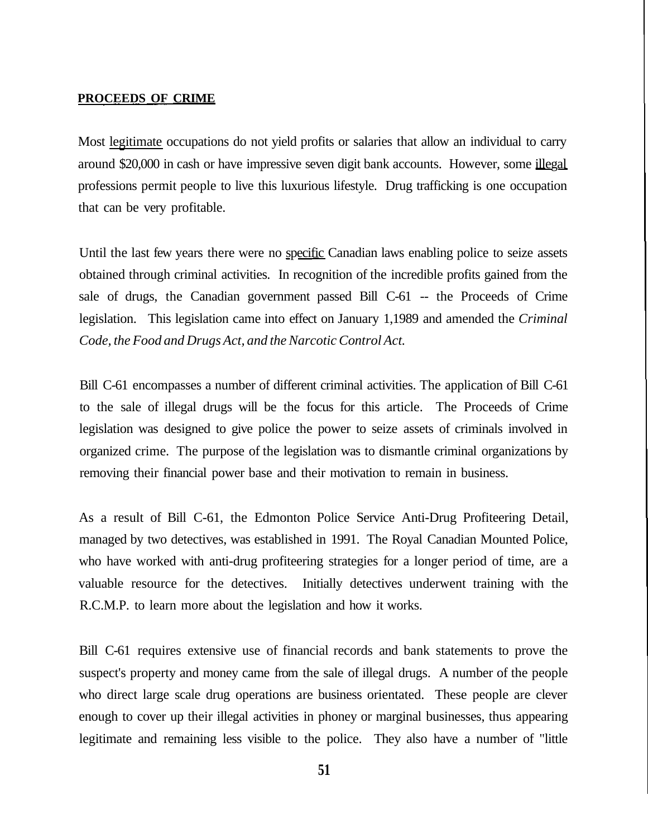#### **PROCEEDS OF CRIME**

Most legitimate occupations do not yield profits or salaries that allow an individual to carry around \$20,000 in cash or have impressive seven digit bank accounts. However, some illegal professions permit people to live this luxurious lifestyle. Drug trafficking is one occupation that can be very profitable.

Until the last few years there were no specific Canadian laws enabling police to seize assets obtained through criminal activities. In recognition of the incredible profits gained from the sale of drugs, the Canadian government passed Bill C-61 -- the Proceeds of Crime legislation. This legislation came into effect on January 1,1989 and amended the *Criminal Code, the Food and Drugs Act, and the Narcotic Control Act.*

Bill C-61 encompasses a number of different criminal activities. The application of Bill C-61 to the sale of illegal drugs will be the focus for this article. The Proceeds of Crime legislation was designed to give police the power to seize assets of criminals involved in organized crime. The purpose of the legislation was to dismantle criminal organizations by removing their financial power base and their motivation to remain in business.

As a result of Bill C-61, the Edmonton Police Service Anti-Drug Profiteering Detail, managed by two detectives, was established in 1991. The Royal Canadian Mounted Police, who have worked with anti-drug profiteering strategies for a longer period of time, are a valuable resource for the detectives. Initially detectives underwent training with the R.C.M.P. to learn more about the legislation and how it works.

Bill C-61 requires extensive use of financial records and bank statements to prove the suspect's property and money came from the sale of illegal drugs. A number of the people who direct large scale drug operations are business orientated. These people are clever enough to cover up their illegal activities in phoney or marginal businesses, thus appearing legitimate and remaining less visible to the police. They also have a number of "little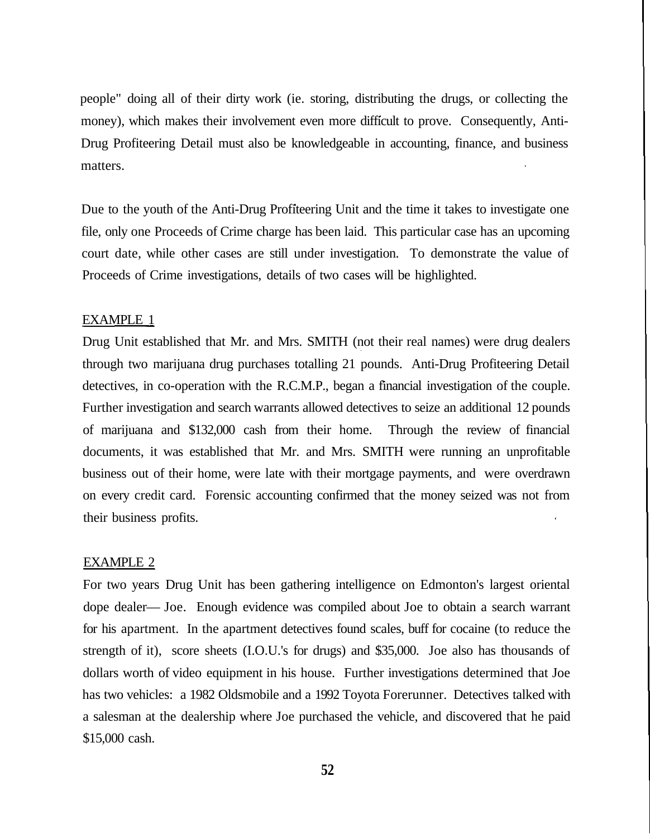people" doing all of their dirty work (ie. storing, distributing the drugs, or collecting the money), which makes their involvement even more difficult to prove. Consequently, Anti-Drug Profiteering Detail must also be knowledgeable in accounting, finance, and business matters.

Due to the youth of the Anti-Drug Profiteering Unit and the time it takes to investigate one file, only one Proceeds of Crime charge has been laid. This particular case has an upcoming court date, while other cases are still under investigation. To demonstrate the value of Proceeds of Crime investigations, details of two cases will be highlighted.

#### EXAMPLE 1

Drug Unit established that Mr. and Mrs. SMITH (not their real names) were drug dealers through two marijuana drug purchases totalling 21 pounds. Anti-Drug Profiteering Detail detectives, in co-operation with the R.C.M.P., began a financial investigation of the couple. Further investigation and search warrants allowed detectives to seize an additional 12 pounds of marijuana and \$132,000 cash from their home. Through the review of financial documents, it was established that Mr. and Mrs. SMITH were running an unprofitable business out of their home, were late with their mortgage payments, and were overdrawn on every credit card. Forensic accounting confirmed that the money seized was not from their business profits.

#### EXAMPLE 2

For two years Drug Unit has been gathering intelligence on Edmonton's largest oriental dope dealer— Joe. Enough evidence was compiled about Joe to obtain a search warrant for his apartment. In the apartment detectives found scales, buff for cocaine (to reduce the strength of it), score sheets (I.O.U.'s for drugs) and \$35,000. Joe also has thousands of dollars worth of video equipment in his house. Further investigations determined that Joe has two vehicles: a 1982 Oldsmobile and a 1992 Toyota Forerunner. Detectives talked with a salesman at the dealership where Joe purchased the vehicle, and discovered that he paid \$15,000 cash.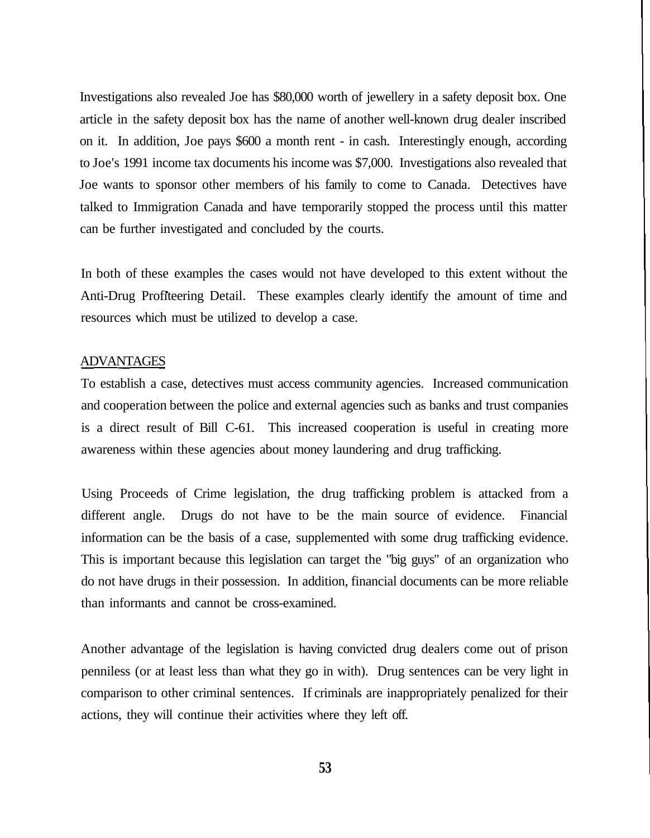Investigations also revealed Joe has \$80,000 worth of jewellery in a safety deposit box. One article in the safety deposit box has the name of another well-known drug dealer inscribed on it. In addition, Joe pays \$600 a month rent - in cash. Interestingly enough, according to Joe's 1991 income tax documents his income was \$7,000. Investigations also revealed that Joe wants to sponsor other members of his family to come to Canada. Detectives have talked to Immigration Canada and have temporarily stopped the process until this matter can be further investigated and concluded by the courts.

In both of these examples the cases would not have developed to this extent without the Anti-Drug Profiteering Detail. These examples clearly identify the amount of time and resources which must be utilized to develop a case.

#### **ADVANTAGES**

To establish a case, detectives must access community agencies. Increased communication and cooperation between the police and external agencies such as banks and trust companies is a direct result of Bill C-61. This increased cooperation is useful in creating more awareness within these agencies about money laundering and drug trafficking.

Using Proceeds of Crime legislation, the drug trafficking problem is attacked from a different angle. Drugs do not have to be the main source of evidence. Financial information can be the basis of a case, supplemented with some drug trafficking evidence. This is important because this legislation can target the "big guys" of an organization who do not have drugs in their possession. In addition, financial documents can be more reliable than informants and cannot be cross-examined.

Another advantage of the legislation is having convicted drug dealers come out of prison penniless (or at least less than what they go in with). Drug sentences can be very light in comparison to other criminal sentences. If criminals are inappropriately penalized for their actions, they will continue their activities where they left off.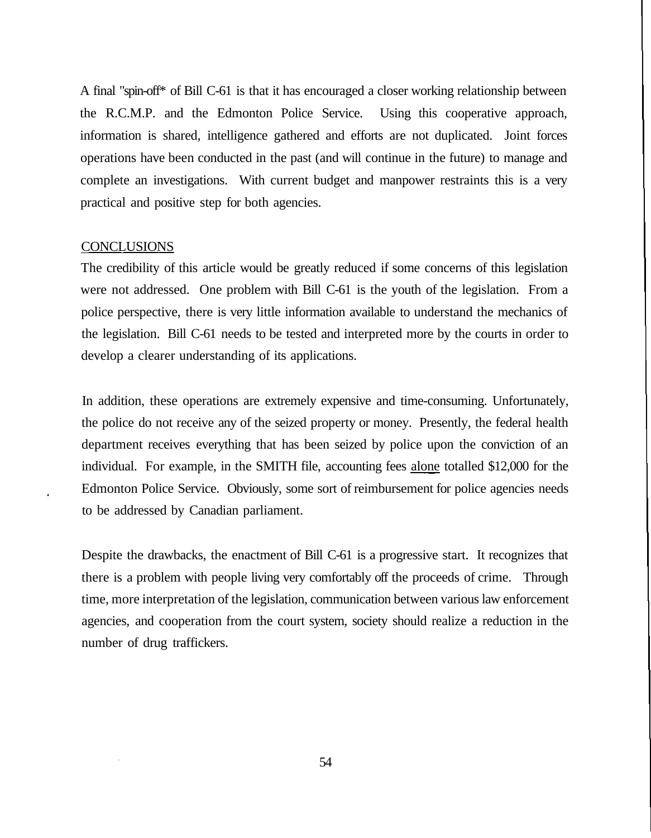A final "spin-off\* of Bill C-61 is that it has encouraged a closer working relationship between the R.C.M.P. and the Edmonton Police Service. Using this cooperative approach, information is shared, intelligence gathered and efforts are not duplicated. Joint forces operations have been conducted in the past (and will continue in the future) to manage and complete an investigations. With current budget and manpower restraints this is a very practical and positive step for both agencies.

#### **CONCLUSIONS**

The credibility of this article would be greatly reduced if some concerns of this legislation were not addressed. One problem with Bill C-61 is the youth of the legislation. From a police perspective, there is very little information available to understand the mechanics of the legislation. Bill C-61 needs to be tested and interpreted more by the courts in order to develop a clearer understanding of its applications.

In addition, these operations are extremely expensive and time-consuming. Unfortunately, the police do not receive any of the seized property or money. Presently, the federal health department receives everything that has been seized by police upon the conviction of an individual. For example, in the SMITH file, accounting fees alone totalled \$12,000 for the Edmonton Police Service. Obviously, some sort of reimbursement for police agencies needs to be addressed by Canadian parliament.

Despite the drawbacks, the enactment of Bill C-61 is a progressive start. It recognizes that there is a problem with people living very comfortably off the proceeds of crime. Through time, more interpretation of the legislation, communication between various law enforcement agencies, and cooperation from the court system, society should realize a reduction in the number of drug traffickers.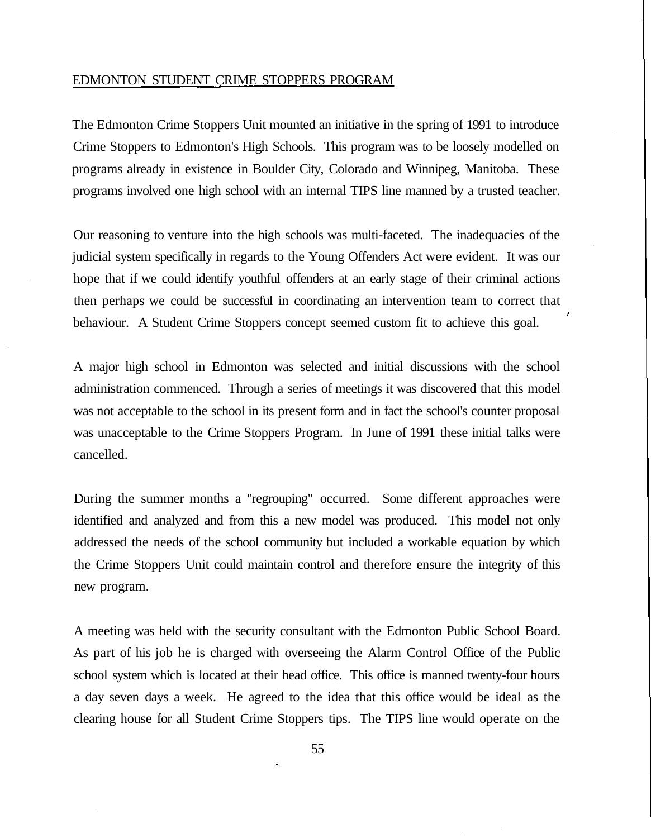#### EDMONTON STUDENT CRIME STOPPERS PROGRAM

The Edmonton Crime Stoppers Unit mounted an initiative in the spring of 1991 to introduce Crime Stoppers to Edmonton's High Schools. This program was to be loosely modelled on programs already in existence in Boulder City, Colorado and Winnipeg, Manitoba. These programs involved one high school with an internal TIPS line manned by a trusted teacher.

Our reasoning to venture into the high schools was multi-faceted. The inadequacies of the judicial system specifically in regards to the Young Offenders Act were evident. It was our hope that if we could identify youthful offenders at an early stage of their criminal actions then perhaps we could be successful in coordinating an intervention team to correct that behaviour. A Student Crime Stoppers concept seemed custom fit to achieve this goal.

A major high school in Edmonton was selected and initial discussions with the school administration commenced. Through a series of meetings it was discovered that this model was not acceptable to the school in its present form and in fact the school's counter proposal was unacceptable to the Crime Stoppers Program. In June of 1991 these initial talks were cancelled.

During the summer months a "regrouping" occurred. Some different approaches were identified and analyzed and from this a new model was produced. This model not only addressed the needs of the school community but included a workable equation by which the Crime Stoppers Unit could maintain control and therefore ensure the integrity of this new program.

A meeting was held with the security consultant with the Edmonton Public School Board. As part of his job he is charged with overseeing the Alarm Control Office of the Public school system which is located at their head office. This office is manned twenty-four hours a day seven days a week. He agreed to the idea that this office would be ideal as the clearing house for all Student Crime Stoppers tips. The TIPS line would operate on the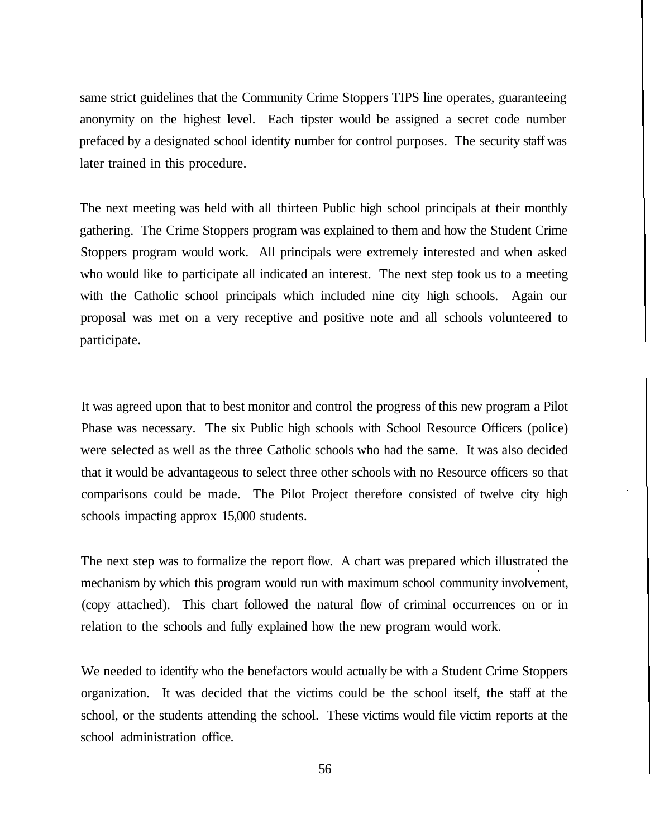same strict guidelines that the Community Crime Stoppers TIPS line operates, guaranteeing anonymity on the highest level. Each tipster would be assigned a secret code number prefaced by a designated school identity number for control purposes. The security staff was later trained in this procedure.

The next meeting was held with all thirteen Public high school principals at their monthly gathering. The Crime Stoppers program was explained to them and how the Student Crime Stoppers program would work. All principals were extremely interested and when asked who would like to participate all indicated an interest. The next step took us to a meeting with the Catholic school principals which included nine city high schools. Again our proposal was met on a very receptive and positive note and all schools volunteered to participate.

It was agreed upon that to best monitor and control the progress of this new program a Pilot Phase was necessary. The six Public high schools with School Resource Officers (police) were selected as well as the three Catholic schools who had the same. It was also decided that it would be advantageous to select three other schools with no Resource officers so that comparisons could be made. The Pilot Project therefore consisted of twelve city high schools impacting approx 15,000 students.

The next step was to formalize the report flow. A chart was prepared which illustrated the mechanism by which this program would run with maximum school community involvement, (copy attached). This chart followed the natural flow of criminal occurrences on or in relation to the schools and fully explained how the new program would work.

We needed to identify who the benefactors would actually be with a Student Crime Stoppers organization. It was decided that the victims could be the school itself, the staff at the school, or the students attending the school. These victims would file victim reports at the school administration office.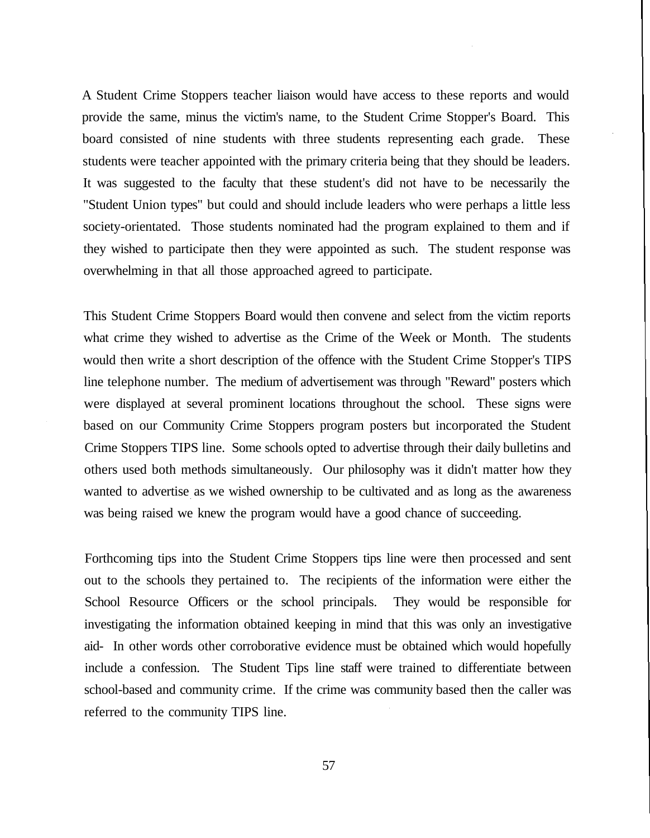A Student Crime Stoppers teacher liaison would have access to these reports and would provide the same, minus the victim's name, to the Student Crime Stopper's Board. This board consisted of nine students with three students representing each grade. These students were teacher appointed with the primary criteria being that they should be leaders. It was suggested to the faculty that these student's did not have to be necessarily the "Student Union types" but could and should include leaders who were perhaps a little less society-orientated. Those students nominated had the program explained to them and if they wished to participate then they were appointed as such. The student response was overwhelming in that all those approached agreed to participate.

This Student Crime Stoppers Board would then convene and select from the victim reports what crime they wished to advertise as the Crime of the Week or Month. The students would then write a short description of the offence with the Student Crime Stopper's TIPS line telephone number. The medium of advertisement was through "Reward" posters which were displayed at several prominent locations throughout the school. These signs were based on our Community Crime Stoppers program posters but incorporated the Student Crime Stoppers TIPS line. Some schools opted to advertise through their daily bulletins and others used both methods simultaneously. Our philosophy was it didn't matter how they wanted to advertise as we wished ownership to be cultivated and as long as the awareness was being raised we knew the program would have a good chance of succeeding.

Forthcoming tips into the Student Crime Stoppers tips line were then processed and sent out to the schools they pertained to. The recipients of the information were either the School Resource Officers or the school principals. They would be responsible for investigating the information obtained keeping in mind that this was only an investigative aid- In other words other corroborative evidence must be obtained which would hopefully include a confession. The Student Tips line staff were trained to differentiate between school-based and community crime. If the crime was community based then the caller was referred to the community TIPS line.

57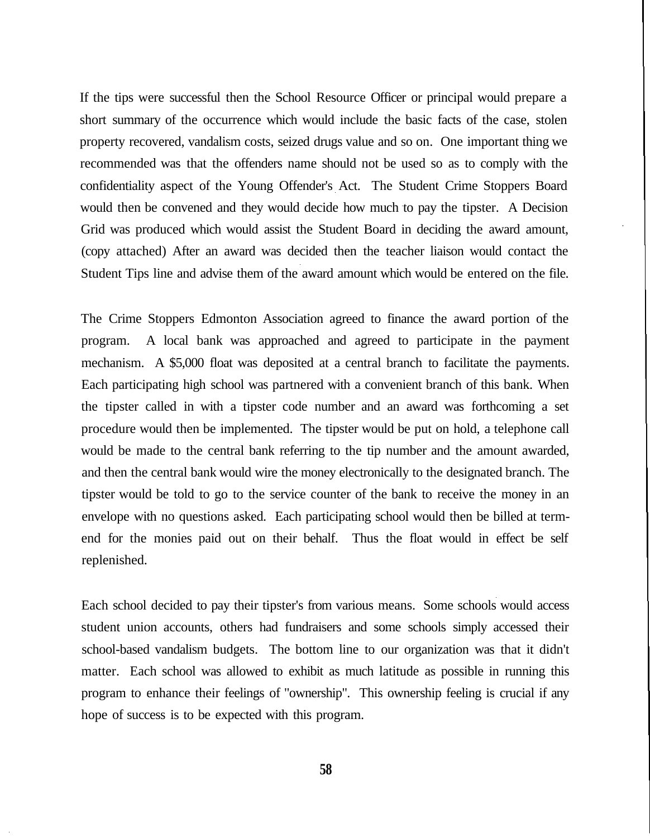If the tips were successful then the School Resource Officer or principal would prepare a short summary of the occurrence which would include the basic facts of the case, stolen property recovered, vandalism costs, seized drugs value and so on. One important thing we recommended was that the offenders name should not be used so as to comply with the confidentiality aspect of the Young Offender's Act. The Student Crime Stoppers Board would then be convened and they would decide how much to pay the tipster. A Decision Grid was produced which would assist the Student Board in deciding the award amount, (copy attached) After an award was decided then the teacher liaison would contact the Student Tips line and advise them of the award amount which would be entered on the file.

The Crime Stoppers Edmonton Association agreed to finance the award portion of the program. A local bank was approached and agreed to participate in the payment mechanism. A \$5,000 float was deposited at a central branch to facilitate the payments. Each participating high school was partnered with a convenient branch of this bank. When the tipster called in with a tipster code number and an award was forthcoming a set procedure would then be implemented. The tipster would be put on hold, a telephone call would be made to the central bank referring to the tip number and the amount awarded, and then the central bank would wire the money electronically to the designated branch. The tipster would be told to go to the service counter of the bank to receive the money in an envelope with no questions asked. Each participating school would then be billed at termend for the monies paid out on their behalf. Thus the float would in effect be self replenished.

Each school decided to pay their tipster's from various means. Some schools would access student union accounts, others had fundraisers and some schools simply accessed their school-based vandalism budgets. The bottom line to our organization was that it didn't matter. Each school was allowed to exhibit as much latitude as possible in running this program to enhance their feelings of "ownership". This ownership feeling is crucial if any hope of success is to be expected with this program.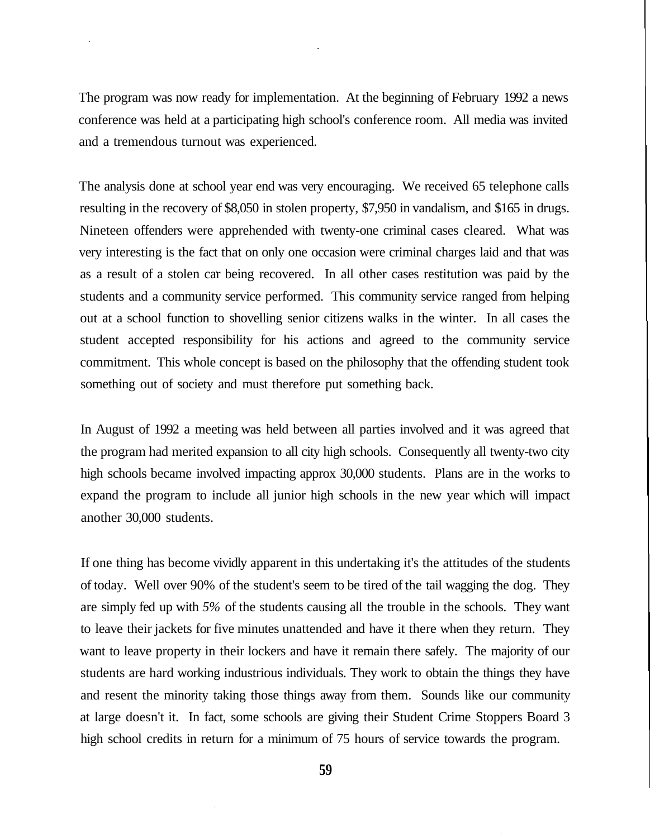The program was now ready for implementation. At the beginning of February 1992 a news conference was held at a participating high school's conference room. All media was invited and a tremendous turnout was experienced.

The analysis done at school year end was very encouraging. We received 65 telephone calls resulting in the recovery of \$8,050 in stolen property, \$7,950 in vandalism, and \$165 in drugs. Nineteen offenders were apprehended with twenty-one criminal cases cleared. What was very interesting is the fact that on only one occasion were criminal charges laid and that was as a result of a stolen car being recovered. In all other cases restitution was paid by the students and a community service performed. This community service ranged from helping out at a school function to shovelling senior citizens walks in the winter. In all cases the student accepted responsibility for his actions and agreed to the community service commitment. This whole concept is based on the philosophy that the offending student took something out of society and must therefore put something back.

In August of 1992 a meeting was held between all parties involved and it was agreed that the program had merited expansion to all city high schools. Consequently all twenty-two city high schools became involved impacting approx 30,000 students. Plans are in the works to expand the program to include all junior high schools in the new year which will impact another 30,000 students.

If one thing has become vividly apparent in this undertaking it's the attitudes of the students of today. Well over 90% of the student's seem to be tired of the tail wagging the dog. They are simply fed up with *5%* of the students causing all the trouble in the schools. They want to leave their jackets for five minutes unattended and have it there when they return. They want to leave property in their lockers and have it remain there safely. The majority of our students are hard working industrious individuals. They work to obtain the things they have and resent the minority taking those things away from them. Sounds like our community at large doesn't it. In fact, some schools are giving their Student Crime Stoppers Board 3 high school credits in return for a minimum of 75 hours of service towards the program.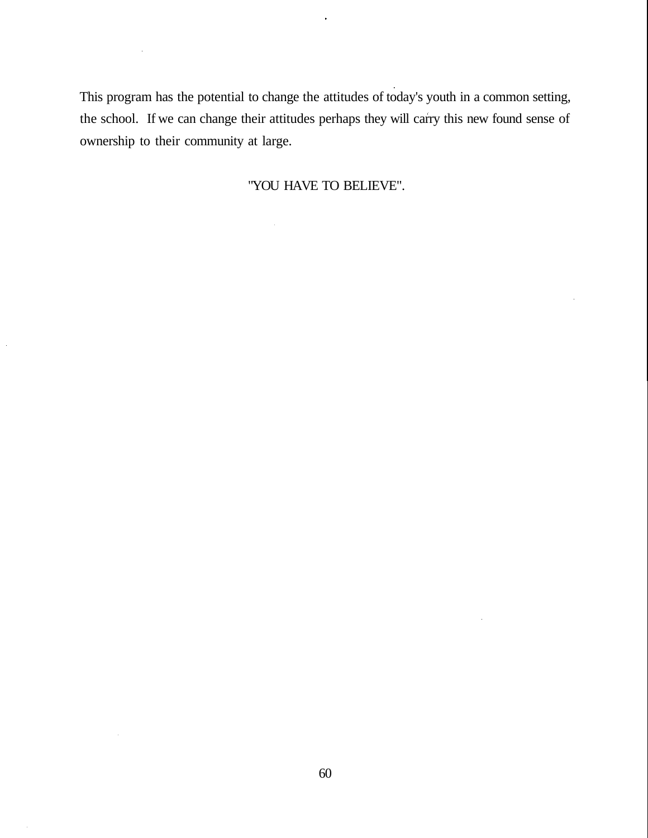This program has the potential to change the attitudes of today's youth in a common setting, the school. If we can change their attitudes perhaps they will carry this new found sense of ownership to their community at large.

 $\ddot{\phantom{0}}$ 

"YOU HAVE TO BELIEVE".

 $\ddot{\phantom{0}}$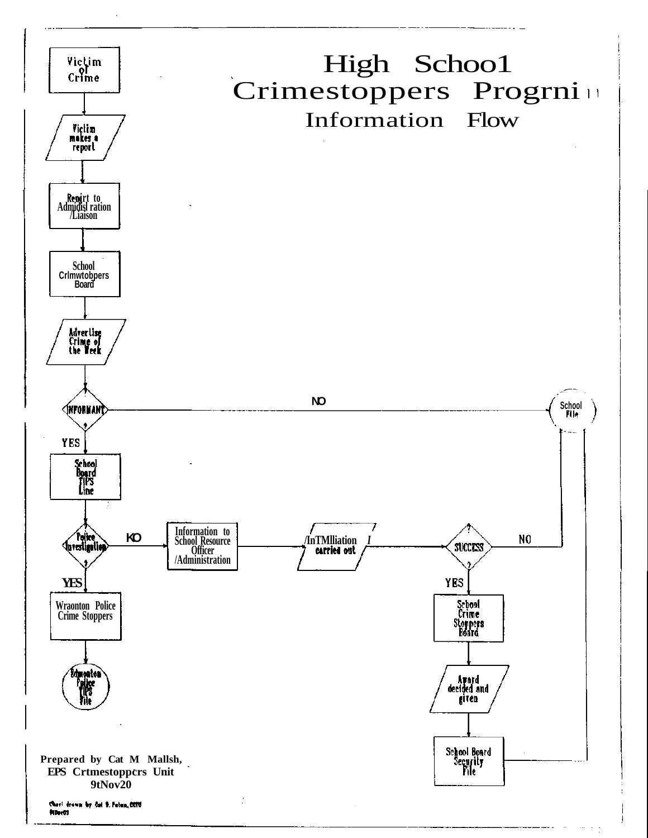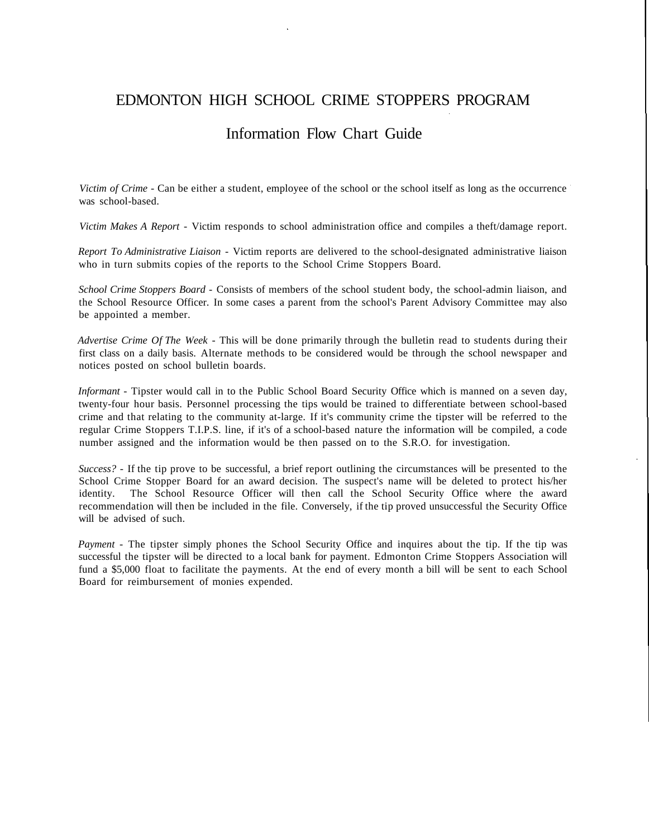## EDMONTON HIGH SCHOOL CRIME STOPPERS PROGRAM

### Information Flow Chart Guide

*Victim of Crime -* Can be either a student, employee of the school or the school itself as long as the occurrence was school-based.

*Victim Makes A Report* - Victim responds to school administration office and compiles a theft/damage report.

*Report To Administrative Liaison* - Victim reports are delivered to the school-designated administrative liaison who in turn submits copies of the reports to the School Crime Stoppers Board.

*School Crime Stoppers Board* - Consists of members of the school student body, the school-admin liaison, and the School Resource Officer. In some cases a parent from the school's Parent Advisory Committee may also be appointed a member.

*Advertise Crime Of The Week -* This will be done primarily through the bulletin read to students during their first class on a daily basis. Alternate methods to be considered would be through the school newspaper and notices posted on school bulletin boards.

*Informant* - Tipster would call in to the Public School Board Security Office which is manned on a seven day, twenty-four hour basis. Personnel processing the tips would be trained to differentiate between school-based crime and that relating to the community at-large. If it's community crime the tipster will be referred to the regular Crime Stoppers T.I.P.S. line, if it's of a school-based nature the information will be compiled, a code number assigned and the information would be then passed on to the S.R.O. for investigation.

*Success? -* If the tip prove to be successful, a brief report outlining the circumstances will be presented to the School Crime Stopper Board for an award decision. The suspect's name will be deleted to protect his/her identity. The School Resource Officer will then call the School Security Office where the award recommendation will then be included in the file. Conversely, if the tip proved unsuccessful the Security Office will be advised of such.

*Payment* - The tipster simply phones the School Security Office and inquires about the tip. If the tip was successful the tipster will be directed to a local bank for payment. Edmonton Crime Stoppers Association will fund a \$5,000 float to facilitate the payments. At the end of every month a bill will be sent to each School Board for reimbursement of monies expended.